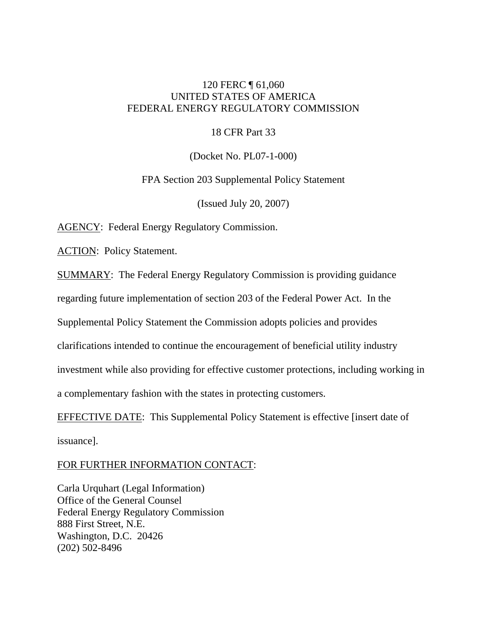# 120 FERC ¶ 61,060 UNITED STATES OF AMERICA FEDERAL ENERGY REGULATORY COMMISSION

## 18 CFR Part 33

(Docket No. PL07-1-000)

FPA Section 203 Supplemental Policy Statement

(Issued July 20, 2007)

AGENCY: Federal Energy Regulatory Commission.

ACTION: Policy Statement.

SUMMARY: The Federal Energy Regulatory Commission is providing guidance

regarding future implementation of section 203 of the Federal Power Act. In the

Supplemental Policy Statement the Commission adopts policies and provides

clarifications intended to continue the encouragement of beneficial utility industry

investment while also providing for effective customer protections, including working in

a complementary fashion with the states in protecting customers.

EFFECTIVE DATE: This Supplemental Policy Statement is effective [insert date of issuance].

# FOR FURTHER INFORMATION CONTACT:

Carla Urquhart (Legal Information) Office of the General Counsel Federal Energy Regulatory Commission 888 First Street, N.E. Washington, D.C. 20426 (202) 502-8496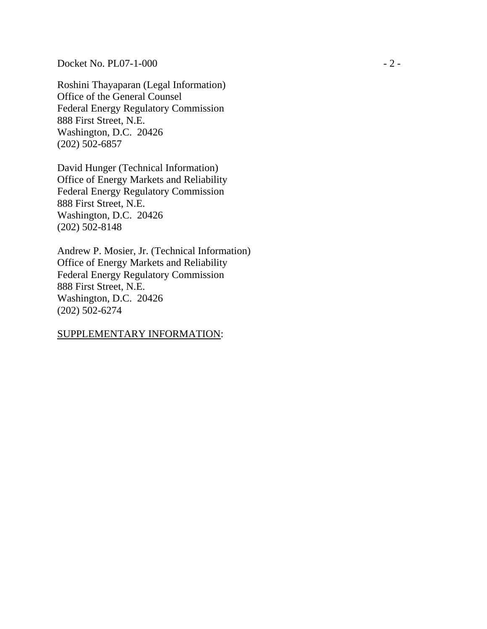Docket No. PL07-1-000 - 2 -

Roshini Thayaparan (Legal Information) Office of the General Counsel Federal Energy Regulatory Commission 888 First Street, N.E. Washington, D.C. 20426 (202) 502-6857

David Hunger (Technical Information) Office of Energy Markets and Reliability Federal Energy Regulatory Commission 888 First Street, N.E. Washington, D.C. 20426 (202) 502-8148

Andrew P. Mosier, Jr. (Technical Information) Office of Energy Markets and Reliability Federal Energy Regulatory Commission 888 First Street, N.E. Washington, D.C. 20426 (202) 502-6274

# SUPPLEMENTARY INFORMATION: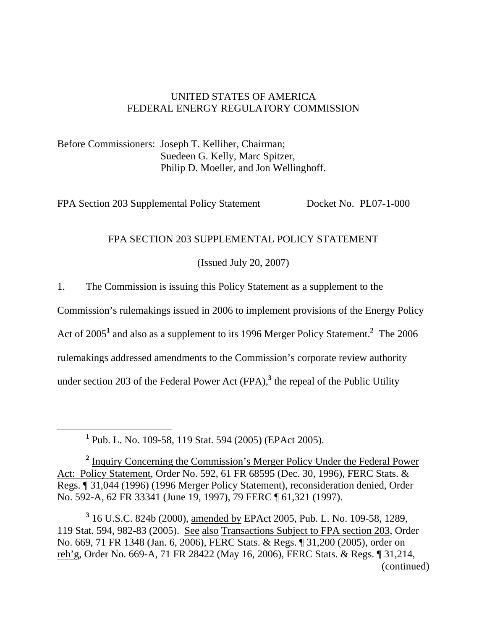# UNITED STATES OF AMERICA FEDERAL ENERGY REGULATORY COMMISSION

Before Commissioners: Joseph T. Kelliher, Chairman; Suedeen G. Kelly, Marc Spitzer, Philip D. Moeller, and Jon Wellinghoff.

FPA Section 203 Supplemental Policy Statement Docket No. PL07-1-000

# FPA SECTION 203 SUPPLEMENTAL POLICY STATEMENT

(Issued July 20, 2007)

1. The Commission is issuing this Policy Statement as a supplement to the

Commission's rulemakings issued in 2006 to implement provisions of the Energy Policy

Act of 2005<sup>1</sup> and also as a supplement to its 1996 Merger Policy Statement.<sup>2</sup> The 2006

rulemakings addressed amendments to the Commission's corporate review authority

under section 203 of the Federal Power Act (FPA),<sup>3</sup> the repeal of the Public Utility

<u>1</u> Pub. L. No. 109-58, 119 Stat. 594 (2005) (EPAct 2005).

<sup>2</sup> Inquiry Concerning the Commission's Merger Policy Under the Federal Power Act: Policy Statement, Order No. 592, 61 FR 68595 (Dec. 30, 1996), FERC Stats. & Regs. ¶ 31,044 (1996) (1996 Merger Policy Statement), reconsideration denied, Order No. 592-A, 62 FR 33341 (June 19, 1997), 79 FERC ¶ 61,321 (1997).

**3** 16 U.S.C. 824b (2000), amended by EPAct 2005, Pub. L. No. 109-58, 1289, 119 Stat. 594, 982-83 (2005). See also Transactions Subject to FPA section 203, Order No. 669, 71 FR 1348 (Jan. 6, 2006), FERC Stats. & Regs. ¶ 31,200 (2005), order on reh'g, Order No. 669-A, 71 FR 28422 (May 16, 2006), FERC Stats. & Regs. ¶ 31,214, (continued)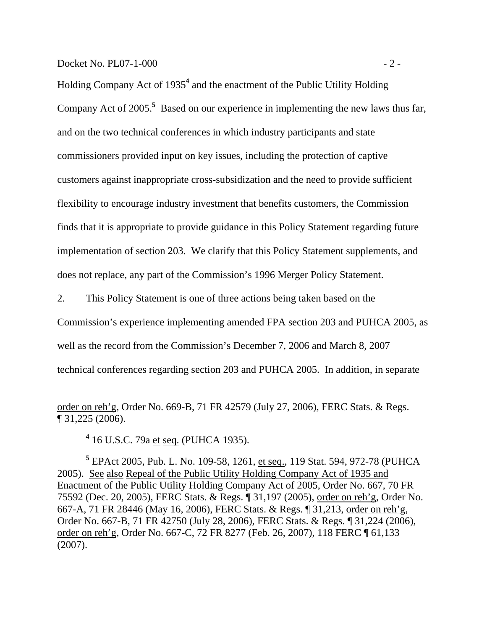Docket No. PL07-1-000 - 2 -

 $\overline{a}$ 

Holding Company Act of 1935**<sup>4</sup>** and the enactment of the Public Utility Holding Company Act of 2005.<sup>5</sup> Based on our experience in implementing the new laws thus far, and on the two technical conferences in which industry participants and state commissioners provided input on key issues, including the protection of captive customers against inappropriate cross-subsidization and the need to provide sufficient flexibility to encourage industry investment that benefits customers, the Commission finds that it is appropriate to provide guidance in this Policy Statement regarding future implementation of section 203. We clarify that this Policy Statement supplements, and does not replace, any part of the Commission's 1996 Merger Policy Statement.

2. This Policy Statement is one of three actions being taken based on the

Commission's experience implementing amended FPA section 203 and PUHCA 2005, as

well as the record from the Commission's December 7, 2006 and March 8, 2007

technical conferences regarding section 203 and PUHCA 2005. In addition, in separate

order on reh'g, Order No. 669-B, 71 FR 42579 (July 27, 2006), FERC Stats. & Regs. ¶ 31,225 (2006).

**4** 16 U.S.C. 79a et seq. (PUHCA 1935).

**5** EPAct 2005, Pub. L. No. 109-58, 1261, et seq., 119 Stat. 594, 972-78 (PUHCA 2005). See also Repeal of the Public Utility Holding Company Act of 1935 and Enactment of the Public Utility Holding Company Act of 2005, Order No. 667, 70 FR 75592 (Dec. 20, 2005), FERC Stats. & Regs. ¶ 31,197 (2005), order on reh'g, Order No. 667-A, 71 FR 28446 (May 16, 2006), FERC Stats. & Regs. ¶ 31,213, order on reh'g, Order No. 667-B, 71 FR 42750 (July 28, 2006), FERC Stats. & Regs. ¶ 31,224 (2006), order on reh'g, Order No. 667-C, 72 FR 8277 (Feb. 26, 2007), 118 FERC ¶ 61,133 (2007).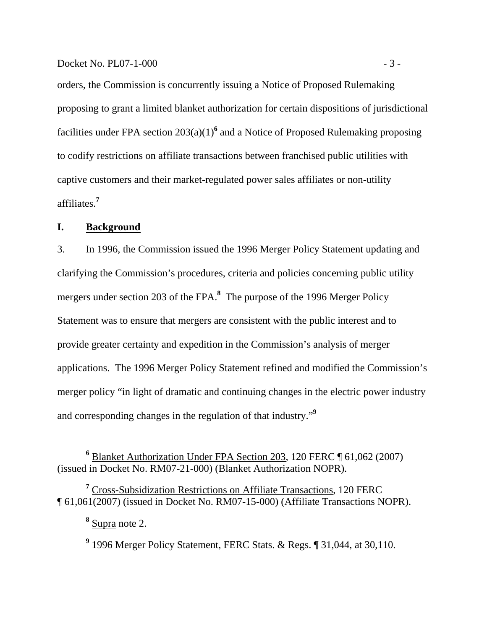orders, the Commission is concurrently issuing a Notice of Proposed Rulemaking proposing to grant a limited blanket authorization for certain dispositions of jurisdictional facilities under FPA section 203(a)(1)<sup>6</sup> and a Notice of Proposed Rulemaking proposing to codify restrictions on affiliate transactions between franchised public utilities with captive customers and their market-regulated power sales affiliates or non-utility affiliates.**<sup>7</sup>**

## **I. Background**

3. In 1996, the Commission issued the 1996 Merger Policy Statement updating and clarifying the Commission's procedures, criteria and policies concerning public utility mergers under section 203 of the FPA.**<sup>8</sup>** The purpose of the 1996 Merger Policy Statement was to ensure that mergers are consistent with the public interest and to provide greater certainty and expedition in the Commission's analysis of merger applications. The 1996 Merger Policy Statement refined and modified the Commission's merger policy "in light of dramatic and continuing changes in the electric power industry and corresponding changes in the regulation of that industry."**<sup>9</sup>**

**<sup>6</sup>** Blanket Authorization Under FPA Section 203, 120 FERC ¶ 61,062 (2007) (issued in Docket No. RM07-21-000) (Blanket Authorization NOPR).

<sup>&</sup>lt;sup>7</sup> Cross-Subsidization Restrictions on Affiliate Transactions, 120 FERC ¶ 61,061(2007) (issued in Docket No. RM07-15-000) (Affiliate Transactions NOPR).

**<sup>8</sup>** Supra note 2.

**<sup>9</sup>** 1996 Merger Policy Statement, FERC Stats. & Regs. ¶ 31,044, at 30,110.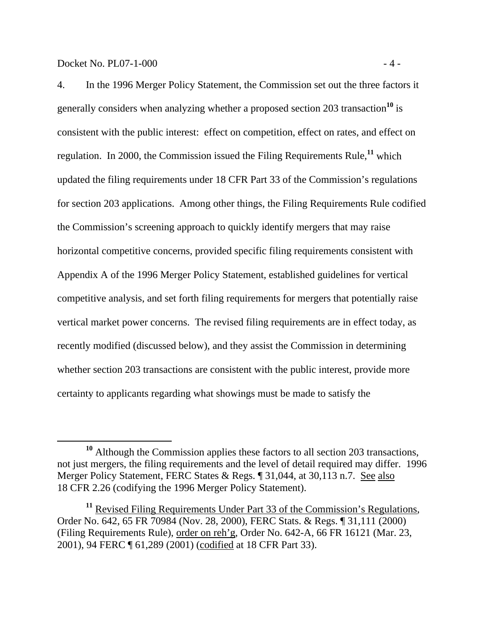4. In the 1996 Merger Policy Statement, the Commission set out the three factors it generally considers when analyzing whether a proposed section 203 transaction**<sup>10</sup>** is consistent with the public interest: effect on competition, effect on rates, and effect on regulation. In 2000, the Commission issued the Filing Requirements Rule,**<sup>11</sup>** which updated the filing requirements under 18 CFR Part 33 of the Commission's regulations for section 203 applications. Among other things, the Filing Requirements Rule codified the Commission's screening approach to quickly identify mergers that may raise horizontal competitive concerns, provided specific filing requirements consistent with Appendix A of the 1996 Merger Policy Statement, established guidelines for vertical competitive analysis, and set forth filing requirements for mergers that potentially raise vertical market power concerns. The revised filing requirements are in effect today, as recently modified (discussed below), and they assist the Commission in determining whether section 203 transactions are consistent with the public interest, provide more

certainty to applicants regarding what showings must be made to satisfy the

**<sup>10</sup>** Although the Commission applies these factors to all section 203 transactions, not just mergers, the filing requirements and the level of detail required may differ. 1996 Merger Policy Statement, FERC States & Regs. ¶ 31,044, at 30,113 n.7. See also 18 CFR 2.26 (codifying the 1996 Merger Policy Statement).

<sup>&</sup>lt;sup>11</sup> Revised Filing Requirements Under Part 33 of the Commission's Regulations, Order No. 642, 65 FR 70984 (Nov. 28, 2000), FERC Stats. & Regs. ¶ 31,111 (2000) (Filing Requirements Rule), order on reh'g, Order No. 642-A, 66 FR 16121 (Mar. 23, 2001), 94 FERC ¶ 61,289 (2001) (codified at 18 CFR Part 33).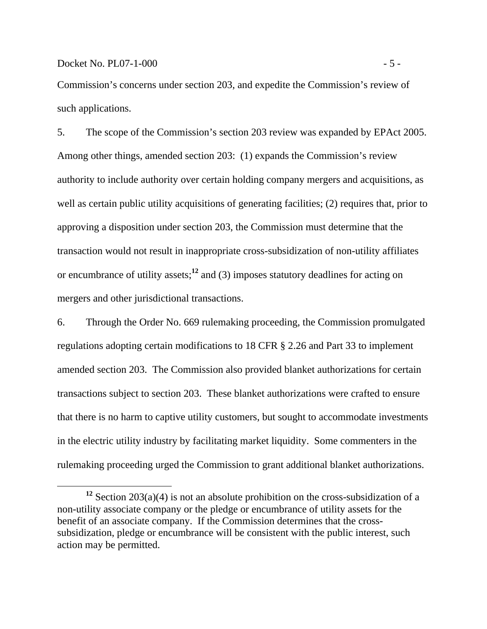Commission's concerns under section 203, and expedite the Commission's review of such applications.

5. The scope of the Commission's section 203 review was expanded by EPAct 2005. Among other things, amended section 203: (1) expands the Commission's review authority to include authority over certain holding company mergers and acquisitions, as well as certain public utility acquisitions of generating facilities; (2) requires that, prior to approving a disposition under section 203, the Commission must determine that the transaction would not result in inappropriate cross-subsidization of non-utility affiliates or encumbrance of utility assets;**<sup>12</sup>** and (3) imposes statutory deadlines for acting on mergers and other jurisdictional transactions.

6. Through the Order No. 669 rulemaking proceeding, the Commission promulgated regulations adopting certain modifications to 18 CFR § 2.26 and Part 33 to implement amended section 203. The Commission also provided blanket authorizations for certain transactions subject to section 203. These blanket authorizations were crafted to ensure that there is no harm to captive utility customers, but sought to accommodate investments in the electric utility industry by facilitating market liquidity. Some commenters in the rulemaking proceeding urged the Commission to grant additional blanket authorizations.

**<sup>12</sup>** Section 203(a)(4) is not an absolute prohibition on the cross-subsidization of a non-utility associate company or the pledge or encumbrance of utility assets for the benefit of an associate company. If the Commission determines that the crosssubsidization, pledge or encumbrance will be consistent with the public interest, such action may be permitted.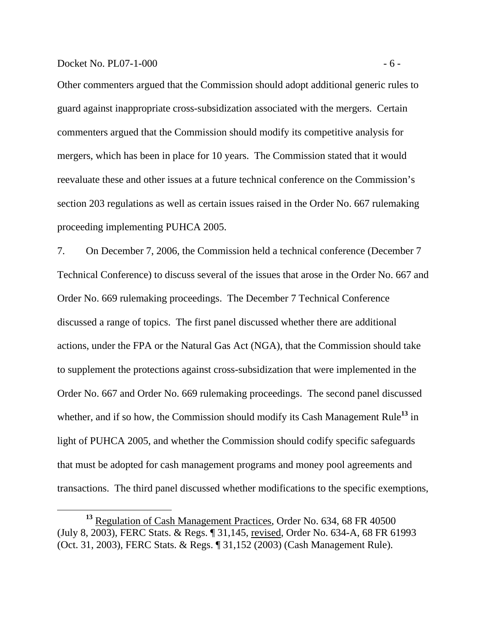Other commenters argued that the Commission should adopt additional generic rules to guard against inappropriate cross-subsidization associated with the mergers. Certain commenters argued that the Commission should modify its competitive analysis for mergers, which has been in place for 10 years. The Commission stated that it would reevaluate these and other issues at a future technical conference on the Commission's section 203 regulations as well as certain issues raised in the Order No. 667 rulemaking proceeding implementing PUHCA 2005.

7. On December 7, 2006, the Commission held a technical conference (December 7 Technical Conference) to discuss several of the issues that arose in the Order No. 667 and Order No. 669 rulemaking proceedings. The December 7 Technical Conference discussed a range of topics. The first panel discussed whether there are additional actions, under the FPA or the Natural Gas Act (NGA), that the Commission should take to supplement the protections against cross-subsidization that were implemented in the Order No. 667 and Order No. 669 rulemaking proceedings. The second panel discussed whether, and if so how, the Commission should modify its Cash Management Rule**<sup>13</sup>** in light of PUHCA 2005, and whether the Commission should codify specific safeguards that must be adopted for cash management programs and money pool agreements and transactions. The third panel discussed whether modifications to the specific exemptions,

<sup>&</sup>lt;sup>13</sup> Regulation of Cash Management Practices, Order No. 634, 68 FR 40500 (July 8, 2003), FERC Stats. & Regs. ¶ 31,145, revised, Order No. 634-A, 68 FR 61993 (Oct. 31, 2003), FERC Stats. & Regs. ¶ 31,152 (2003) (Cash Management Rule).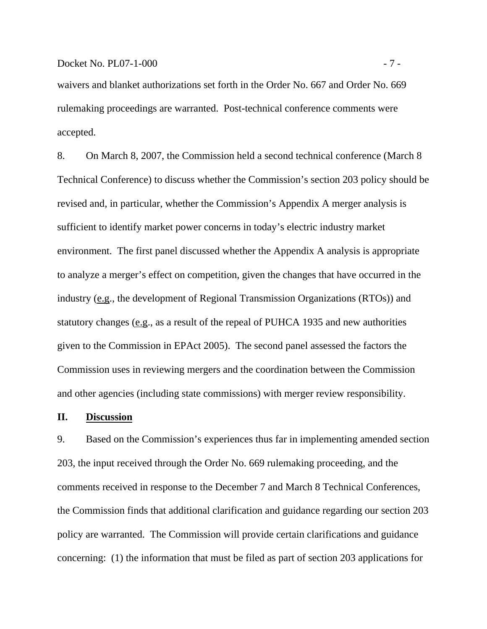waivers and blanket authorizations set forth in the Order No. 667 and Order No. 669 rulemaking proceedings are warranted. Post-technical conference comments were accepted.

8. On March 8, 2007, the Commission held a second technical conference (March 8 Technical Conference) to discuss whether the Commission's section 203 policy should be revised and, in particular, whether the Commission's Appendix A merger analysis is sufficient to identify market power concerns in today's electric industry market environment. The first panel discussed whether the Appendix A analysis is appropriate to analyze a merger's effect on competition, given the changes that have occurred in the industry (e.g., the development of Regional Transmission Organizations (RTOs)) and statutory changes (e.g., as a result of the repeal of PUHCA 1935 and new authorities given to the Commission in EPAct 2005). The second panel assessed the factors the Commission uses in reviewing mergers and the coordination between the Commission and other agencies (including state commissions) with merger review responsibility.

## **II. Discussion**

9. Based on the Commission's experiences thus far in implementing amended section 203, the input received through the Order No. 669 rulemaking proceeding, and the comments received in response to the December 7 and March 8 Technical Conferences, the Commission finds that additional clarification and guidance regarding our section 203 policy are warranted. The Commission will provide certain clarifications and guidance concerning: (1) the information that must be filed as part of section 203 applications for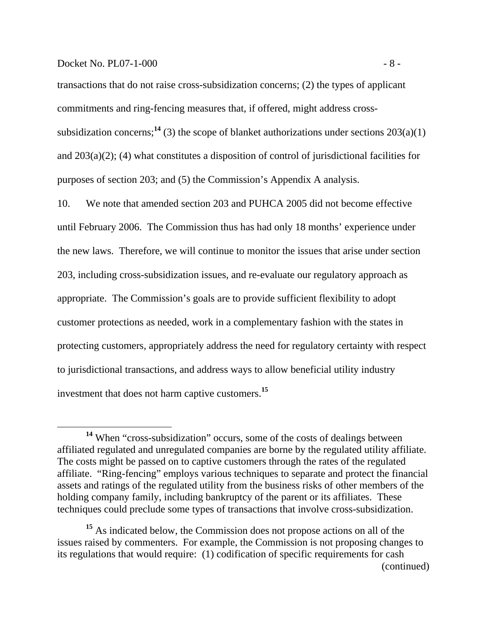transactions that do not raise cross-subsidization concerns; (2) the types of applicant commitments and ring-fencing measures that, if offered, might address crosssubsidization concerns;<sup>14</sup> (3) the scope of blanket authorizations under sections  $203(a)(1)$ and 203(a)(2); (4) what constitutes a disposition of control of jurisdictional facilities for purposes of section 203; and (5) the Commission's Appendix A analysis.

10. We note that amended section 203 and PUHCA 2005 did not become effective until February 2006. The Commission thus has had only 18 months' experience under the new laws. Therefore, we will continue to monitor the issues that arise under section 203, including cross-subsidization issues, and re-evaluate our regulatory approach as appropriate. The Commission's goals are to provide sufficient flexibility to adopt customer protections as needed, work in a complementary fashion with the states in protecting customers, appropriately address the need for regulatory certainty with respect to jurisdictional transactions, and address ways to allow beneficial utility industry investment that does not harm captive customers.**<sup>15</sup>**

**<sup>14</sup>** When "cross-subsidization" occurs, some of the costs of dealings between affiliated regulated and unregulated companies are borne by the regulated utility affiliate. The costs might be passed on to captive customers through the rates of the regulated affiliate. "Ring-fencing" employs various techniques to separate and protect the financial assets and ratings of the regulated utility from the business risks of other members of the holding company family, including bankruptcy of the parent or its affiliates. These techniques could preclude some types of transactions that involve cross-subsidization.

**<sup>15</sup>** As indicated below, the Commission does not propose actions on all of the issues raised by commenters. For example, the Commission is not proposing changes to its regulations that would require: (1) codification of specific requirements for cash (continued)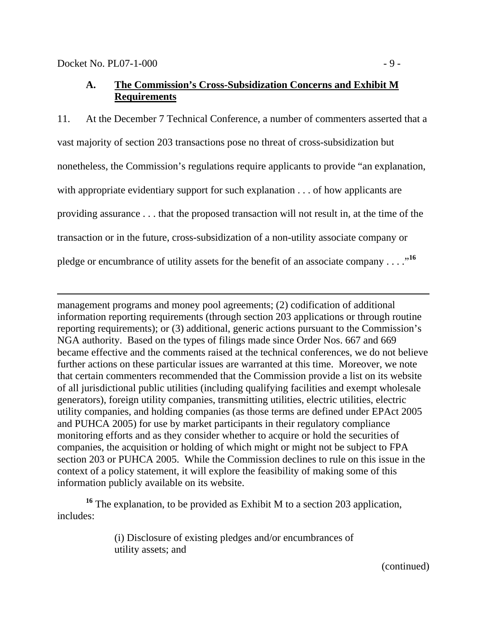$\overline{a}$ 

# **A. The Commission's Cross-Subsidization Concerns and Exhibit M Requirements**

11. At the December 7 Technical Conference, a number of commenters asserted that a vast majority of section 203 transactions pose no threat of cross-subsidization but nonetheless, the Commission's regulations require applicants to provide "an explanation, with appropriate evidentiary support for such explanation . . . of how applicants are providing assurance . . . that the proposed transaction will not result in, at the time of the transaction or in the future, cross-subsidization of a non-utility associate company or pledge or encumbrance of utility assets for the benefit of an associate company . . . .<sup>16</sup>

management programs and money pool agreements; (2) codification of additional information reporting requirements (through section 203 applications or through routine reporting requirements); or (3) additional, generic actions pursuant to the Commission's NGA authority. Based on the types of filings made since Order Nos. 667 and 669 became effective and the comments raised at the technical conferences, we do not believe further actions on these particular issues are warranted at this time. Moreover, we note that certain commenters recommended that the Commission provide a list on its website of all jurisdictional public utilities (including qualifying facilities and exempt wholesale generators), foreign utility companies, transmitting utilities, electric utilities, electric utility companies, and holding companies (as those terms are defined under EPAct 2005 and PUHCA 2005) for use by market participants in their regulatory compliance monitoring efforts and as they consider whether to acquire or hold the securities of companies, the acquisition or holding of which might or might not be subject to FPA section 203 or PUHCA 2005. While the Commission declines to rule on this issue in the context of a policy statement, it will explore the feasibility of making some of this information publicly available on its website.

**<sup>16</sup>** The explanation, to be provided as Exhibit M to a section 203 application, includes:

> (i) Disclosure of existing pledges and/or encumbrances of utility assets; and

(continued)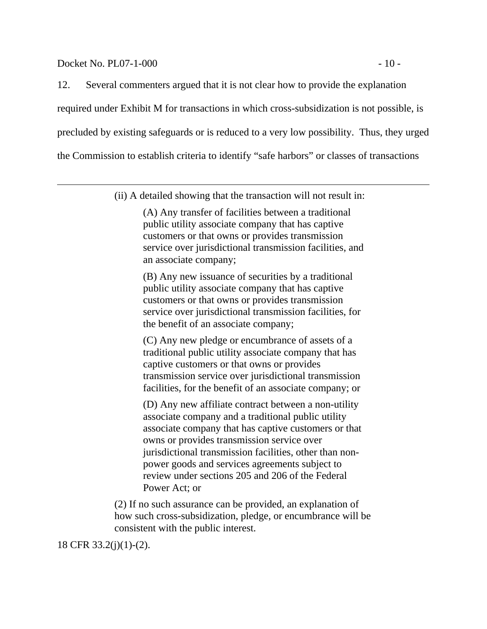#### Docket No. PL07-1-000 - 10 -

 $\overline{a}$ 

12. Several commenters argued that it is not clear how to provide the explanation required under Exhibit M for transactions in which cross-subsidization is not possible, is precluded by existing safeguards or is reduced to a very low possibility. Thus, they urged the Commission to establish criteria to identify "safe harbors" or classes of transactions

(ii) A detailed showing that the transaction will not result in:

(A) Any transfer of facilities between a traditional public utility associate company that has captive customers or that owns or provides transmission service over jurisdictional transmission facilities, and an associate company;

(B) Any new issuance of securities by a traditional public utility associate company that has captive customers or that owns or provides transmission service over jurisdictional transmission facilities, for the benefit of an associate company;

(C) Any new pledge or encumbrance of assets of a traditional public utility associate company that has captive customers or that owns or provides transmission service over jurisdictional transmission facilities, for the benefit of an associate company; or

(D) Any new affiliate contract between a non-utility associate company and a traditional public utility associate company that has captive customers or that owns or provides transmission service over jurisdictional transmission facilities, other than nonpower goods and services agreements subject to review under sections 205 and 206 of the Federal Power Act; or

(2) If no such assurance can be provided, an explanation of how such cross-subsidization, pledge, or encumbrance will be consistent with the public interest.

18 CFR 33.2(j)(1)-(2).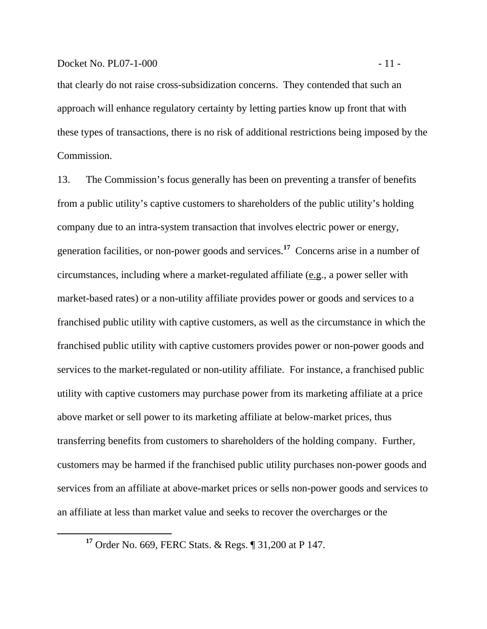#### Docket No. PL07-1-000 - 11 -

that clearly do not raise cross-subsidization concerns. They contended that such an approach will enhance regulatory certainty by letting parties know up front that with these types of transactions, there is no risk of additional restrictions being imposed by the Commission.

13. The Commission's focus generally has been on preventing a transfer of benefits from a public utility's captive customers to shareholders of the public utility's holding company due to an intra-system transaction that involves electric power or energy, generation facilities, or non-power goods and services.**<sup>17</sup>** Concerns arise in a number of circumstances, including where a market-regulated affiliate (e.g., a power seller with market-based rates) or a non-utility affiliate provides power or goods and services to a franchised public utility with captive customers, as well as the circumstance in which the franchised public utility with captive customers provides power or non-power goods and services to the market-regulated or non-utility affiliate. For instance, a franchised public utility with captive customers may purchase power from its marketing affiliate at a price above market or sell power to its marketing affiliate at below-market prices, thus transferring benefits from customers to shareholders of the holding company. Further, customers may be harmed if the franchised public utility purchases non-power goods and services from an affiliate at above-market prices or sells non-power goods and services to an affiliate at less than market value and seeks to recover the overcharges or the

**<sup>17</sup>** Order No. 669, FERC Stats. & Regs. ¶ 31,200 at P 147.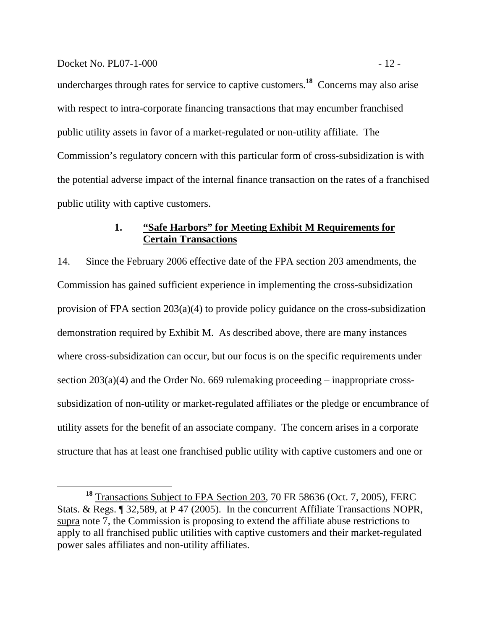#### Docket No. PL07-1-000 - 12 -

undercharges through rates for service to captive customers.**<sup>18</sup>** Concerns may also arise with respect to intra-corporate financing transactions that may encumber franchised public utility assets in favor of a market-regulated or non-utility affiliate. The Commission's regulatory concern with this particular form of cross-subsidization is with the potential adverse impact of the internal finance transaction on the rates of a franchised public utility with captive customers.

## **1. "Safe Harbors" for Meeting Exhibit M Requirements for Certain Transactions**

14. Since the February 2006 effective date of the FPA section 203 amendments, the Commission has gained sufficient experience in implementing the cross-subsidization provision of FPA section 203(a)(4) to provide policy guidance on the cross-subsidization demonstration required by Exhibit M. As described above, there are many instances where cross-subsidization can occur, but our focus is on the specific requirements under section 203(a)(4) and the Order No. 669 rulemaking proceeding – inappropriate crosssubsidization of non-utility or market-regulated affiliates or the pledge or encumbrance of utility assets for the benefit of an associate company. The concern arises in a corporate structure that has at least one franchised public utility with captive customers and one or

**<sup>18</sup>** Transactions Subject to FPA Section 203, 70 FR 58636 (Oct. 7, 2005), FERC Stats. & Regs. ¶ 32,589, at P 47 (2005). In the concurrent Affiliate Transactions NOPR, supra note 7, the Commission is proposing to extend the affiliate abuse restrictions to apply to all franchised public utilities with captive customers and their market-regulated power sales affiliates and non-utility affiliates.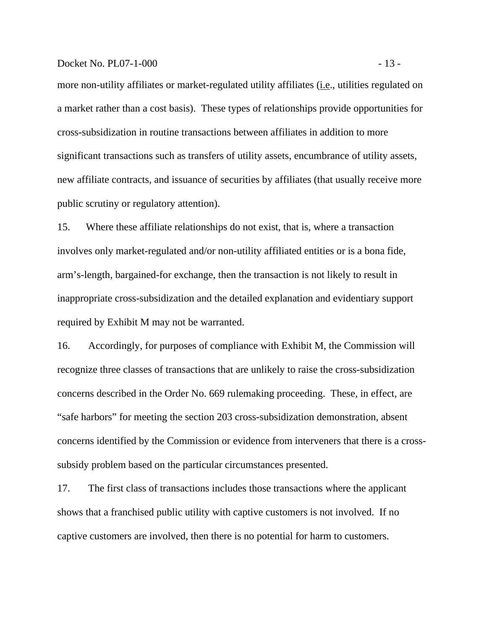#### Docket No. PL07-1-000 - 13 -

more non-utility affiliates or market-regulated utility affiliates (i.e., utilities regulated on a market rather than a cost basis). These types of relationships provide opportunities for cross-subsidization in routine transactions between affiliates in addition to more significant transactions such as transfers of utility assets, encumbrance of utility assets, new affiliate contracts, and issuance of securities by affiliates (that usually receive more public scrutiny or regulatory attention).

15. Where these affiliate relationships do not exist, that is, where a transaction involves only market-regulated and/or non-utility affiliated entities or is a bona fide, arm's-length, bargained-for exchange, then the transaction is not likely to result in inappropriate cross-subsidization and the detailed explanation and evidentiary support required by Exhibit M may not be warranted.

16. Accordingly, for purposes of compliance with Exhibit M, the Commission will recognize three classes of transactions that are unlikely to raise the cross-subsidization concerns described in the Order No. 669 rulemaking proceeding. These, in effect, are "safe harbors" for meeting the section 203 cross-subsidization demonstration, absent concerns identified by the Commission or evidence from interveners that there is a crosssubsidy problem based on the particular circumstances presented.

17. The first class of transactions includes those transactions where the applicant shows that a franchised public utility with captive customers is not involved. If no captive customers are involved, then there is no potential for harm to customers.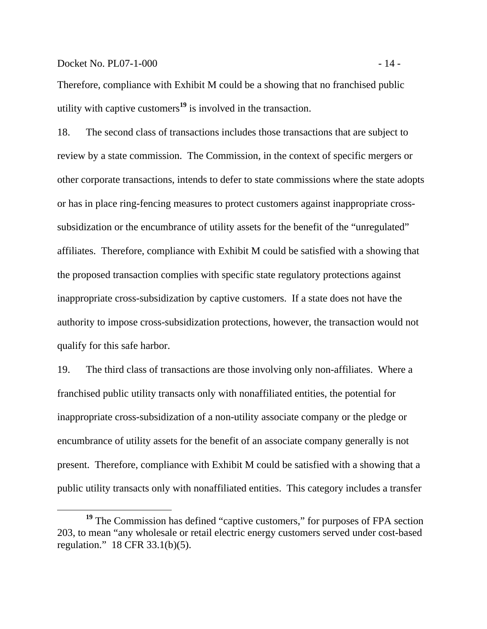#### Docket No. PL07-1-000 - 14 -

Therefore, compliance with Exhibit M could be a showing that no franchised public utility with captive customers**<sup>19</sup>** is involved in the transaction.

18. The second class of transactions includes those transactions that are subject to review by a state commission. The Commission, in the context of specific mergers or other corporate transactions, intends to defer to state commissions where the state adopts or has in place ring-fencing measures to protect customers against inappropriate crosssubsidization or the encumbrance of utility assets for the benefit of the "unregulated" affiliates. Therefore, compliance with Exhibit M could be satisfied with a showing that the proposed transaction complies with specific state regulatory protections against inappropriate cross-subsidization by captive customers. If a state does not have the authority to impose cross-subsidization protections, however, the transaction would not qualify for this safe harbor.

19. The third class of transactions are those involving only non-affiliates. Where a franchised public utility transacts only with nonaffiliated entities, the potential for inappropriate cross-subsidization of a non-utility associate company or the pledge or encumbrance of utility assets for the benefit of an associate company generally is not present. Therefore, compliance with Exhibit M could be satisfied with a showing that a public utility transacts only with nonaffiliated entities. This category includes a transfer

<sup>&</sup>lt;sup>19</sup> The Commission has defined "captive customers," for purposes of FPA section 203, to mean "any wholesale or retail electric energy customers served under cost-based regulation." 18 CFR 33.1(b)(5).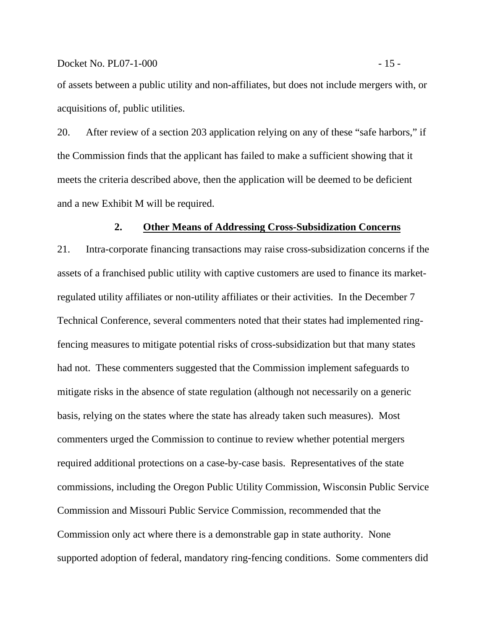of assets between a public utility and non-affiliates, but does not include mergers with, or acquisitions of, public utilities.

20. After review of a section 203 application relying on any of these "safe harbors," if the Commission finds that the applicant has failed to make a sufficient showing that it meets the criteria described above, then the application will be deemed to be deficient and a new Exhibit M will be required.

#### **2. Other Means of Addressing Cross-Subsidization Concerns**

21. Intra-corporate financing transactions may raise cross-subsidization concerns if the assets of a franchised public utility with captive customers are used to finance its marketregulated utility affiliates or non-utility affiliates or their activities. In the December 7 Technical Conference, several commenters noted that their states had implemented ringfencing measures to mitigate potential risks of cross-subsidization but that many states had not. These commenters suggested that the Commission implement safeguards to mitigate risks in the absence of state regulation (although not necessarily on a generic basis, relying on the states where the state has already taken such measures). Most commenters urged the Commission to continue to review whether potential mergers required additional protections on a case-by-case basis. Representatives of the state commissions, including the Oregon Public Utility Commission, Wisconsin Public Service Commission and Missouri Public Service Commission, recommended that the Commission only act where there is a demonstrable gap in state authority. None supported adoption of federal, mandatory ring-fencing conditions. Some commenters did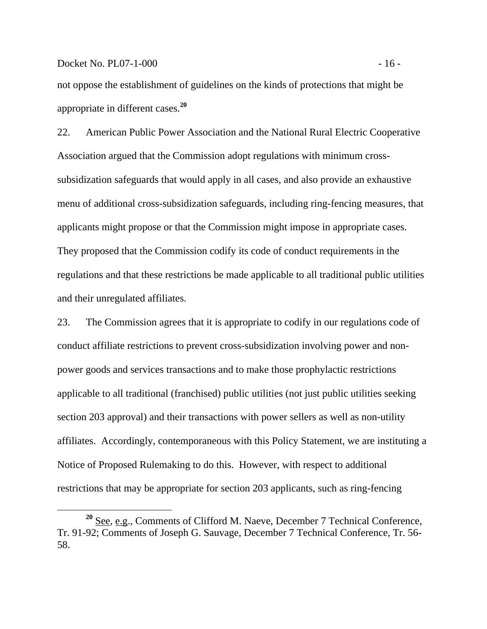not oppose the establishment of guidelines on the kinds of protections that might be appropriate in different cases.**<sup>20</sup>**

22. American Public Power Association and the National Rural Electric Cooperative Association argued that the Commission adopt regulations with minimum crosssubsidization safeguards that would apply in all cases, and also provide an exhaustive menu of additional cross-subsidization safeguards, including ring-fencing measures, that applicants might propose or that the Commission might impose in appropriate cases. They proposed that the Commission codify its code of conduct requirements in the regulations and that these restrictions be made applicable to all traditional public utilities and their unregulated affiliates.

23. The Commission agrees that it is appropriate to codify in our regulations code of conduct affiliate restrictions to prevent cross-subsidization involving power and nonpower goods and services transactions and to make those prophylactic restrictions applicable to all traditional (franchised) public utilities (not just public utilities seeking section 203 approval) and their transactions with power sellers as well as non-utility affiliates. Accordingly, contemporaneous with this Policy Statement, we are instituting a Notice of Proposed Rulemaking to do this. However, with respect to additional restrictions that may be appropriate for section 203 applicants, such as ring-fencing

**<sup>20</sup>** See, e.g., Comments of Clifford M. Naeve, December 7 Technical Conference, Tr. 91-92; Comments of Joseph G. Sauvage, December 7 Technical Conference, Tr. 56- 58.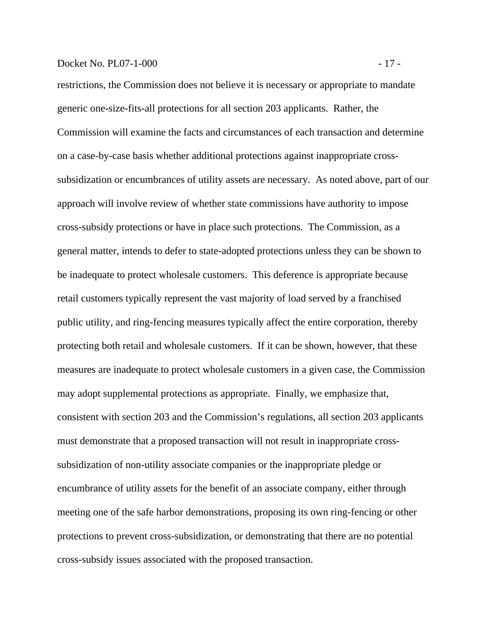## Docket No. PL07-1-000 - 17 -

restrictions, the Commission does not believe it is necessary or appropriate to mandate generic one-size-fits-all protections for all section 203 applicants. Rather, the Commission will examine the facts and circumstances of each transaction and determine on a case-by-case basis whether additional protections against inappropriate crosssubsidization or encumbrances of utility assets are necessary. As noted above, part of our approach will involve review of whether state commissions have authority to impose cross-subsidy protections or have in place such protections. The Commission, as a general matter, intends to defer to state-adopted protections unless they can be shown to be inadequate to protect wholesale customers. This deference is appropriate because retail customers typically represent the vast majority of load served by a franchised public utility, and ring-fencing measures typically affect the entire corporation, thereby protecting both retail and wholesale customers. If it can be shown, however, that these measures are inadequate to protect wholesale customers in a given case, the Commission may adopt supplemental protections as appropriate. Finally, we emphasize that, consistent with section 203 and the Commission's regulations, all section 203 applicants must demonstrate that a proposed transaction will not result in inappropriate crosssubsidization of non-utility associate companies or the inappropriate pledge or encumbrance of utility assets for the benefit of an associate company, either through meeting one of the safe harbor demonstrations, proposing its own ring-fencing or other protections to prevent cross-subsidization, or demonstrating that there are no potential cross-subsidy issues associated with the proposed transaction.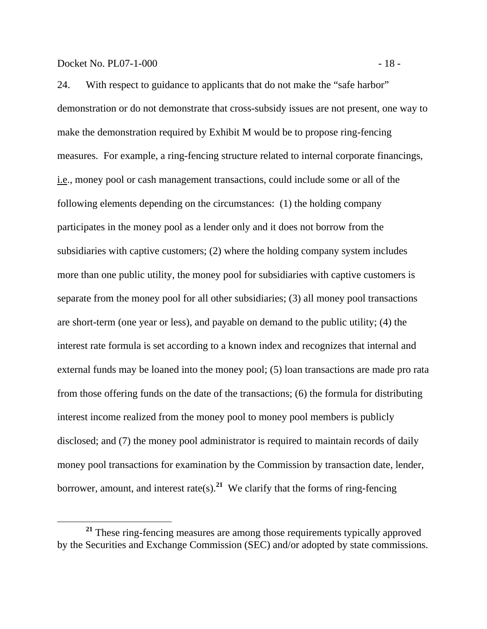24. With respect to guidance to applicants that do not make the "safe harbor" demonstration or do not demonstrate that cross-subsidy issues are not present, one way to make the demonstration required by Exhibit M would be to propose ring-fencing measures. For example, a ring-fencing structure related to internal corporate financings, i.e., money pool or cash management transactions, could include some or all of the following elements depending on the circumstances: (1) the holding company participates in the money pool as a lender only and it does not borrow from the subsidiaries with captive customers; (2) where the holding company system includes more than one public utility, the money pool for subsidiaries with captive customers is separate from the money pool for all other subsidiaries; (3) all money pool transactions are short-term (one year or less), and payable on demand to the public utility; (4) the interest rate formula is set according to a known index and recognizes that internal and external funds may be loaned into the money pool; (5) loan transactions are made pro rata from those offering funds on the date of the transactions; (6) the formula for distributing interest income realized from the money pool to money pool members is publicly disclosed; and (7) the money pool administrator is required to maintain records of daily money pool transactions for examination by the Commission by transaction date, lender, borrower, amount, and interest rate(s).<sup>21</sup> We clarify that the forms of ring-fencing

**<sup>21</sup>** These ring-fencing measures are among those requirements typically approved by the Securities and Exchange Commission (SEC) and/or adopted by state commissions.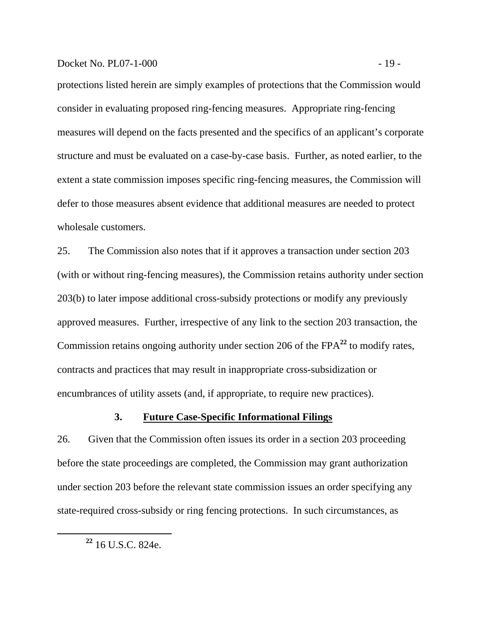## Docket No. PL07-1-000 - 19 -

protections listed herein are simply examples of protections that the Commission would consider in evaluating proposed ring-fencing measures. Appropriate ring-fencing measures will depend on the facts presented and the specifics of an applicant's corporate structure and must be evaluated on a case-by-case basis. Further, as noted earlier, to the extent a state commission imposes specific ring-fencing measures, the Commission will defer to those measures absent evidence that additional measures are needed to protect wholesale customers.

25. The Commission also notes that if it approves a transaction under section 203 (with or without ring-fencing measures), the Commission retains authority under section 203(b) to later impose additional cross-subsidy protections or modify any previously approved measures. Further, irrespective of any link to the section 203 transaction, the Commission retains ongoing authority under section 206 of the FPA**<sup>22</sup>** to modify rates, contracts and practices that may result in inappropriate cross-subsidization or encumbrances of utility assets (and, if appropriate, to require new practices).

## **3. Future Case-Specific Informational Filings**

26. Given that the Commission often issues its order in a section 203 proceeding before the state proceedings are completed, the Commission may grant authorization under section 203 before the relevant state commission issues an order specifying any state-required cross-subsidy or ring fencing protections. In such circumstances, as

**<sup>22</sup>** 16 U.S.C. 824e.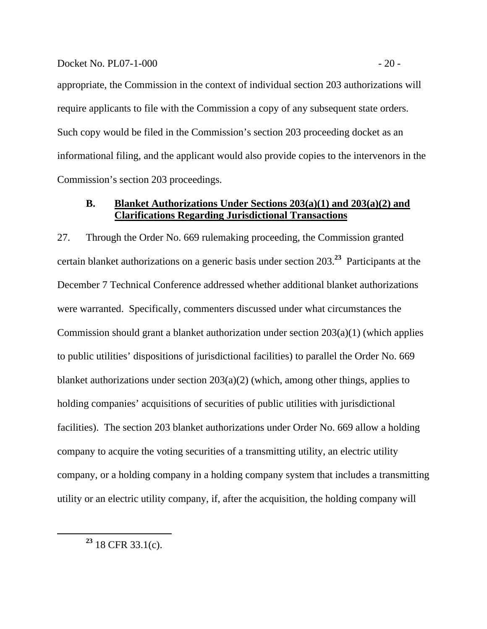#### Docket No. PL07-1-000 - 20 -

appropriate, the Commission in the context of individual section 203 authorizations will require applicants to file with the Commission a copy of any subsequent state orders. Such copy would be filed in the Commission's section 203 proceeding docket as an informational filing, and the applicant would also provide copies to the intervenors in the Commission's section 203 proceedings.

# **B. Blanket Authorizations Under Sections 203(a)(1) and 203(a)(2) and Clarifications Regarding Jurisdictional Transactions**

27. Through the Order No. 669 rulemaking proceeding, the Commission granted certain blanket authorizations on a generic basis under section 203.**<sup>23</sup>** Participants at the December 7 Technical Conference addressed whether additional blanket authorizations were warranted. Specifically, commenters discussed under what circumstances the Commission should grant a blanket authorization under section 203(a)(1) (which applies to public utilities' dispositions of jurisdictional facilities) to parallel the Order No. 669 blanket authorizations under section 203(a)(2) (which, among other things, applies to holding companies' acquisitions of securities of public utilities with jurisdictional facilities). The section 203 blanket authorizations under Order No. 669 allow a holding company to acquire the voting securities of a transmitting utility, an electric utility company, or a holding company in a holding company system that includes a transmitting utility or an electric utility company, if, after the acquisition, the holding company will

**<sup>23</sup>** 18 CFR 33.1(c).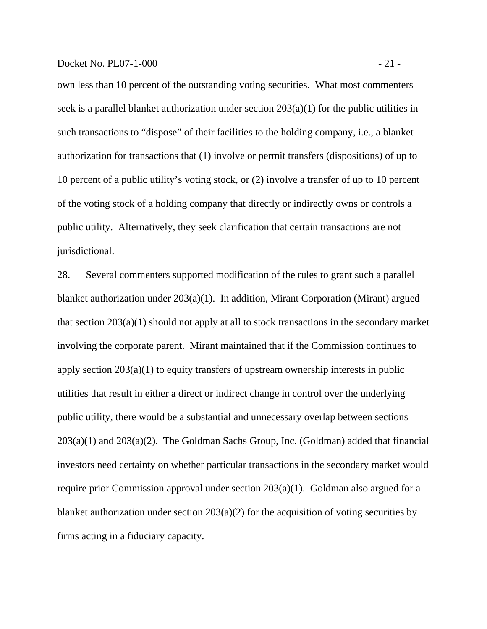own less than 10 percent of the outstanding voting securities. What most commenters seek is a parallel blanket authorization under section  $203(a)(1)$  for the public utilities in such transactions to "dispose" of their facilities to the holding company, i.e., a blanket authorization for transactions that (1) involve or permit transfers (dispositions) of up to 10 percent of a public utility's voting stock, or (2) involve a transfer of up to 10 percent of the voting stock of a holding company that directly or indirectly owns or controls a public utility. Alternatively, they seek clarification that certain transactions are not jurisdictional.

28. Several commenters supported modification of the rules to grant such a parallel blanket authorization under 203(a)(1). In addition, Mirant Corporation (Mirant) argued that section 203(a)(1) should not apply at all to stock transactions in the secondary market involving the corporate parent. Mirant maintained that if the Commission continues to apply section 203(a)(1) to equity transfers of upstream ownership interests in public utilities that result in either a direct or indirect change in control over the underlying public utility, there would be a substantial and unnecessary overlap between sections 203(a)(1) and 203(a)(2). The Goldman Sachs Group, Inc. (Goldman) added that financial investors need certainty on whether particular transactions in the secondary market would require prior Commission approval under section 203(a)(1). Goldman also argued for a blanket authorization under section  $203(a)(2)$  for the acquisition of voting securities by firms acting in a fiduciary capacity.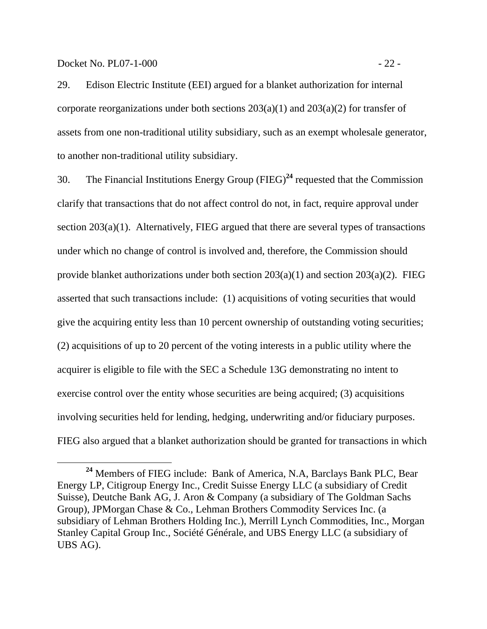Docket No. PL07-1-000 - 22 -

29. Edison Electric Institute (EEI) argued for a blanket authorization for internal corporate reorganizations under both sections  $203(a)(1)$  and  $203(a)(2)$  for transfer of assets from one non-traditional utility subsidiary, such as an exempt wholesale generator, to another non-traditional utility subsidiary.

30. The Financial Institutions Energy Group (FIEG)**<sup>24</sup>** requested that the Commission clarify that transactions that do not affect control do not, in fact, require approval under section 203(a)(1). Alternatively, FIEG argued that there are several types of transactions under which no change of control is involved and, therefore, the Commission should provide blanket authorizations under both section  $203(a)(1)$  and section  $203(a)(2)$ . FIEG asserted that such transactions include: (1) acquisitions of voting securities that would give the acquiring entity less than 10 percent ownership of outstanding voting securities; (2) acquisitions of up to 20 percent of the voting interests in a public utility where the acquirer is eligible to file with the SEC a Schedule 13G demonstrating no intent to exercise control over the entity whose securities are being acquired; (3) acquisitions involving securities held for lending, hedging, underwriting and/or fiduciary purposes. FIEG also argued that a blanket authorization should be granted for transactions in which

**<sup>24</sup>** Members of FIEG include: Bank of America, N.A, Barclays Bank PLC, Bear Energy LP, Citigroup Energy Inc., Credit Suisse Energy LLC (a subsidiary of Credit Suisse), Deutche Bank AG, J. Aron & Company (a subsidiary of The Goldman Sachs Group), JPMorgan Chase & Co., Lehman Brothers Commodity Services Inc. (a subsidiary of Lehman Brothers Holding Inc.), Merrill Lynch Commodities, Inc., Morgan Stanley Capital Group Inc., Société Générale, and UBS Energy LLC (a subsidiary of UBS AG).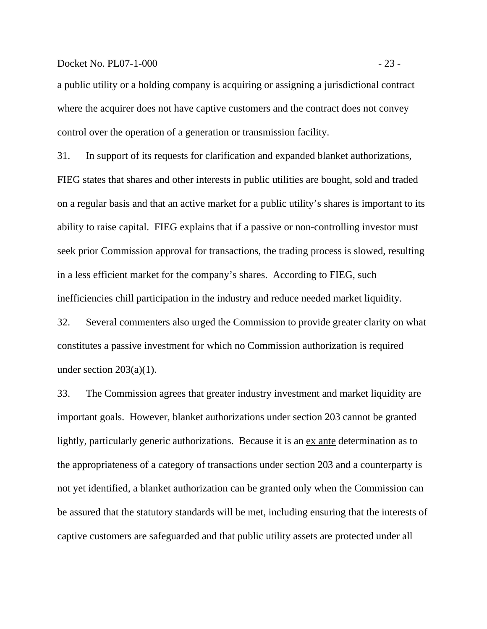## Docket No. PL07-1-000 - 23 -

a public utility or a holding company is acquiring or assigning a jurisdictional contract where the acquirer does not have captive customers and the contract does not convey control over the operation of a generation or transmission facility.

31. In support of its requests for clarification and expanded blanket authorizations, FIEG states that shares and other interests in public utilities are bought, sold and traded on a regular basis and that an active market for a public utility's shares is important to its ability to raise capital. FIEG explains that if a passive or non-controlling investor must seek prior Commission approval for transactions, the trading process is slowed, resulting in a less efficient market for the company's shares. According to FIEG, such inefficiencies chill participation in the industry and reduce needed market liquidity.

32. Several commenters also urged the Commission to provide greater clarity on what constitutes a passive investment for which no Commission authorization is required under section  $203(a)(1)$ .

33. The Commission agrees that greater industry investment and market liquidity are important goals. However, blanket authorizations under section 203 cannot be granted lightly, particularly generic authorizations. Because it is an ex ante determination as to the appropriateness of a category of transactions under section 203 and a counterparty is not yet identified, a blanket authorization can be granted only when the Commission can be assured that the statutory standards will be met, including ensuring that the interests of captive customers are safeguarded and that public utility assets are protected under all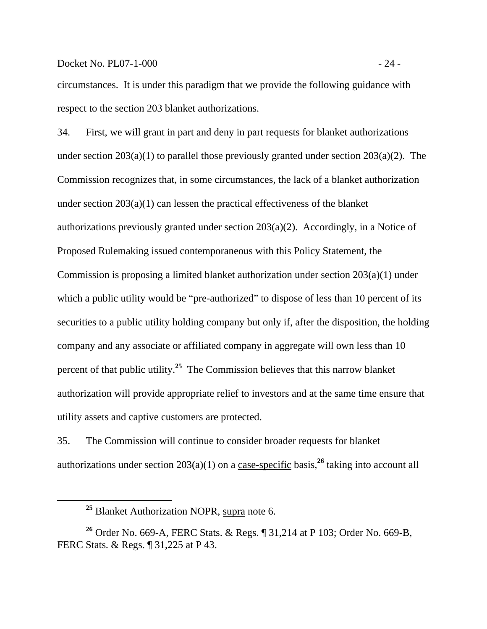Docket No. PL07-1-000 - 24 -

circumstances. It is under this paradigm that we provide the following guidance with respect to the section 203 blanket authorizations.

34. First, we will grant in part and deny in part requests for blanket authorizations under section  $203(a)(1)$  to parallel those previously granted under section  $203(a)(2)$ . The Commission recognizes that, in some circumstances, the lack of a blanket authorization under section 203(a)(1) can lessen the practical effectiveness of the blanket authorizations previously granted under section 203(a)(2). Accordingly, in a Notice of Proposed Rulemaking issued contemporaneous with this Policy Statement, the Commission is proposing a limited blanket authorization under section 203(a)(1) under which a public utility would be "pre-authorized" to dispose of less than 10 percent of its securities to a public utility holding company but only if, after the disposition, the holding company and any associate or affiliated company in aggregate will own less than 10 percent of that public utility.**<sup>25</sup>** The Commission believes that this narrow blanket authorization will provide appropriate relief to investors and at the same time ensure that utility assets and captive customers are protected.

35. The Commission will continue to consider broader requests for blanket authorizations under section 203(a)(1) on a case-specific basis,**<sup>26</sup>** taking into account all

**<sup>25</sup>** Blanket Authorization NOPR, supra note 6.

**<sup>26</sup>** Order No. 669-A, FERC Stats. & Regs. ¶ 31,214 at P 103; Order No. 669-B, FERC Stats. & Regs. ¶ 31,225 at P 43.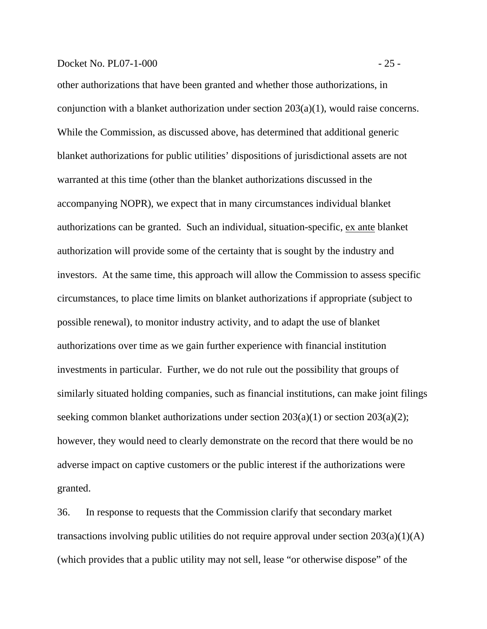### Docket No. PL07-1-000 - 25 -

other authorizations that have been granted and whether those authorizations, in conjunction with a blanket authorization under section 203(a)(1), would raise concerns. While the Commission, as discussed above, has determined that additional generic blanket authorizations for public utilities' dispositions of jurisdictional assets are not warranted at this time (other than the blanket authorizations discussed in the accompanying NOPR), we expect that in many circumstances individual blanket authorizations can be granted. Such an individual, situation-specific, ex ante blanket authorization will provide some of the certainty that is sought by the industry and investors. At the same time, this approach will allow the Commission to assess specific circumstances, to place time limits on blanket authorizations if appropriate (subject to possible renewal), to monitor industry activity, and to adapt the use of blanket authorizations over time as we gain further experience with financial institution investments in particular. Further, we do not rule out the possibility that groups of similarly situated holding companies, such as financial institutions, can make joint filings seeking common blanket authorizations under section 203(a)(1) or section 203(a)(2); however, they would need to clearly demonstrate on the record that there would be no adverse impact on captive customers or the public interest if the authorizations were granted.

36. In response to requests that the Commission clarify that secondary market transactions involving public utilities do not require approval under section 203(a)(1)(A) (which provides that a public utility may not sell, lease "or otherwise dispose" of the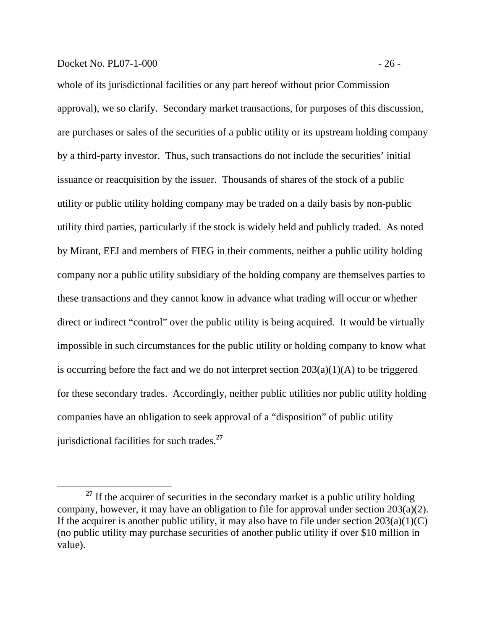#### Docket No. PL07-1-000 - 26 -

whole of its jurisdictional facilities or any part hereof without prior Commission approval), we so clarify. Secondary market transactions, for purposes of this discussion, are purchases or sales of the securities of a public utility or its upstream holding company by a third-party investor. Thus, such transactions do not include the securities' initial issuance or reacquisition by the issuer. Thousands of shares of the stock of a public utility or public utility holding company may be traded on a daily basis by non-public utility third parties, particularly if the stock is widely held and publicly traded. As noted by Mirant, EEI and members of FIEG in their comments, neither a public utility holding company nor a public utility subsidiary of the holding company are themselves parties to these transactions and they cannot know in advance what trading will occur or whether direct or indirect "control" over the public utility is being acquired. It would be virtually impossible in such circumstances for the public utility or holding company to know what is occurring before the fact and we do not interpret section  $203(a)(1)(A)$  to be triggered for these secondary trades. Accordingly, neither public utilities nor public utility holding companies have an obligation to seek approval of a "disposition" of public utility jurisdictional facilities for such trades.**<sup>27</sup>**

<sup>&</sup>lt;sup>27</sup> If the acquirer of securities in the secondary market is a public utility holding company, however, it may have an obligation to file for approval under section 203(a)(2). If the acquirer is another public utility, it may also have to file under section  $203(a)(1)(C)$ (no public utility may purchase securities of another public utility if over \$10 million in value).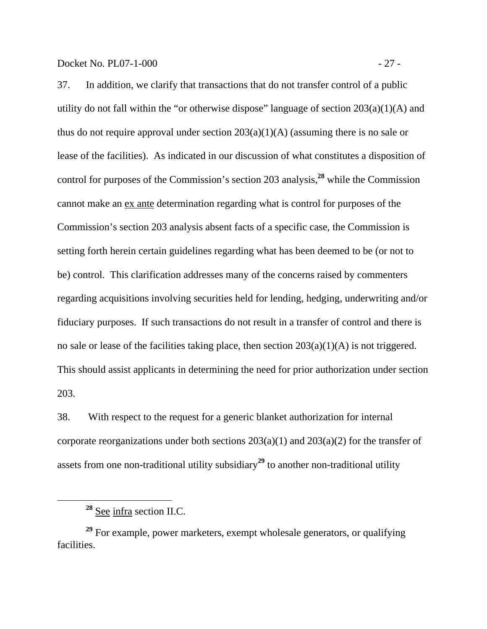37. In addition, we clarify that transactions that do not transfer control of a public utility do not fall within the "or otherwise dispose" language of section  $203(a)(1)(A)$  and thus do not require approval under section  $203(a)(1)(A)$  (assuming there is no sale or lease of the facilities). As indicated in our discussion of what constitutes a disposition of control for purposes of the Commission's section 203 analysis,**<sup>28</sup>** while the Commission cannot make an ex ante determination regarding what is control for purposes of the Commission's section 203 analysis absent facts of a specific case, the Commission is setting forth herein certain guidelines regarding what has been deemed to be (or not to be) control. This clarification addresses many of the concerns raised by commenters regarding acquisitions involving securities held for lending, hedging, underwriting and/or fiduciary purposes. If such transactions do not result in a transfer of control and there is no sale or lease of the facilities taking place, then section  $203(a)(1)(A)$  is not triggered. This should assist applicants in determining the need for prior authorization under section 203.

38. With respect to the request for a generic blanket authorization for internal corporate reorganizations under both sections  $203(a)(1)$  and  $203(a)(2)$  for the transfer of assets from one non-traditional utility subsidiary**<sup>29</sup>** to another non-traditional utility

**<sup>28</sup>** See infra section II.C.

**<sup>29</sup>** For example, power marketers, exempt wholesale generators, or qualifying facilities.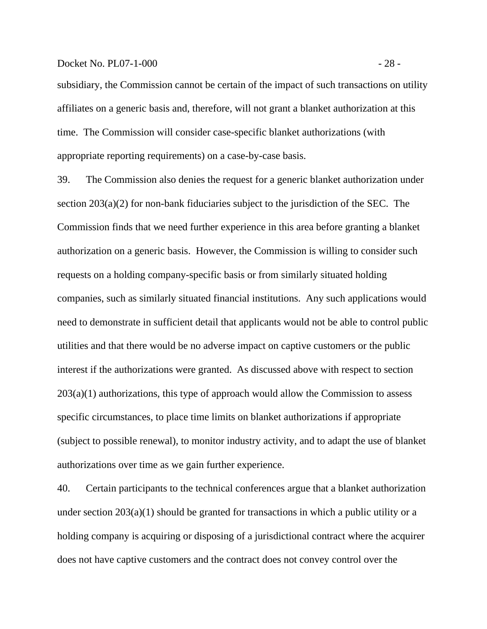#### Docket No. PL07-1-000 - 28 -

subsidiary, the Commission cannot be certain of the impact of such transactions on utility affiliates on a generic basis and, therefore, will not grant a blanket authorization at this time. The Commission will consider case-specific blanket authorizations (with appropriate reporting requirements) on a case-by-case basis.

39. The Commission also denies the request for a generic blanket authorization under section 203(a)(2) for non-bank fiduciaries subject to the jurisdiction of the SEC. The Commission finds that we need further experience in this area before granting a blanket authorization on a generic basis. However, the Commission is willing to consider such requests on a holding company-specific basis or from similarly situated holding companies, such as similarly situated financial institutions. Any such applications would need to demonstrate in sufficient detail that applicants would not be able to control public utilities and that there would be no adverse impact on captive customers or the public interest if the authorizations were granted. As discussed above with respect to section  $203(a)(1)$  authorizations, this type of approach would allow the Commission to assess specific circumstances, to place time limits on blanket authorizations if appropriate (subject to possible renewal), to monitor industry activity, and to adapt the use of blanket authorizations over time as we gain further experience.

40. Certain participants to the technical conferences argue that a blanket authorization under section 203(a)(1) should be granted for transactions in which a public utility or a holding company is acquiring or disposing of a jurisdictional contract where the acquirer does not have captive customers and the contract does not convey control over the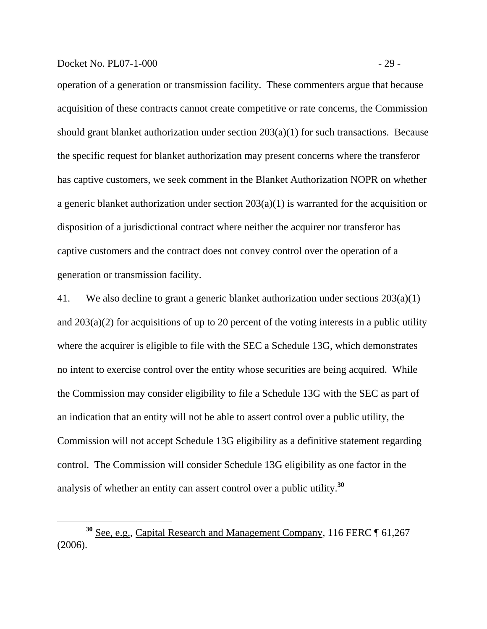## Docket No. PL07-1-000 - 29 -

operation of a generation or transmission facility. These commenters argue that because acquisition of these contracts cannot create competitive or rate concerns, the Commission should grant blanket authorization under section 203(a)(1) for such transactions. Because the specific request for blanket authorization may present concerns where the transferor has captive customers, we seek comment in the Blanket Authorization NOPR on whether a generic blanket authorization under section 203(a)(1) is warranted for the acquisition or disposition of a jurisdictional contract where neither the acquirer nor transferor has captive customers and the contract does not convey control over the operation of a generation or transmission facility.

41. We also decline to grant a generic blanket authorization under sections 203(a)(1) and 203(a)(2) for acquisitions of up to 20 percent of the voting interests in a public utility where the acquirer is eligible to file with the SEC a Schedule 13G, which demonstrates no intent to exercise control over the entity whose securities are being acquired. While the Commission may consider eligibility to file a Schedule 13G with the SEC as part of an indication that an entity will not be able to assert control over a public utility, the Commission will not accept Schedule 13G eligibility as a definitive statement regarding control. The Commission will consider Schedule 13G eligibility as one factor in the analysis of whether an entity can assert control over a public utility.**<sup>30</sup>**

**<sup>30</sup>** See, e.g., Capital Research and Management Company, 116 FERC ¶ 61,267 (2006).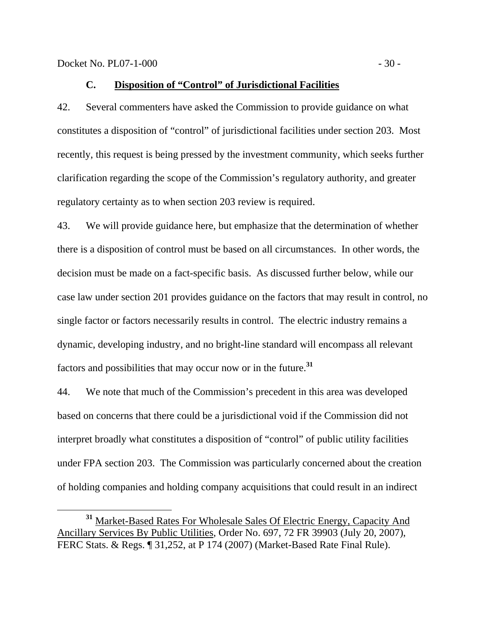## **C. Disposition of "Control" of Jurisdictional Facilities**

42. Several commenters have asked the Commission to provide guidance on what constitutes a disposition of "control" of jurisdictional facilities under section 203. Most recently, this request is being pressed by the investment community, which seeks further clarification regarding the scope of the Commission's regulatory authority, and greater regulatory certainty as to when section 203 review is required.

43. We will provide guidance here, but emphasize that the determination of whether there is a disposition of control must be based on all circumstances. In other words, the decision must be made on a fact-specific basis. As discussed further below, while our case law under section 201 provides guidance on the factors that may result in control, no single factor or factors necessarily results in control. The electric industry remains a dynamic, developing industry, and no bright-line standard will encompass all relevant factors and possibilities that may occur now or in the future.**<sup>31</sup>**

44. We note that much of the Commission's precedent in this area was developed based on concerns that there could be a jurisdictional void if the Commission did not interpret broadly what constitutes a disposition of "control" of public utility facilities under FPA section 203. The Commission was particularly concerned about the creation of holding companies and holding company acquisitions that could result in an indirect

**<sup>31</sup>** Market-Based Rates For Wholesale Sales Of Electric Energy, Capacity And Ancillary Services By Public Utilities, Order No. 697, 72 FR 39903 (July 20, 2007), FERC Stats. & Regs. ¶ 31,252, at P 174 (2007) (Market-Based Rate Final Rule).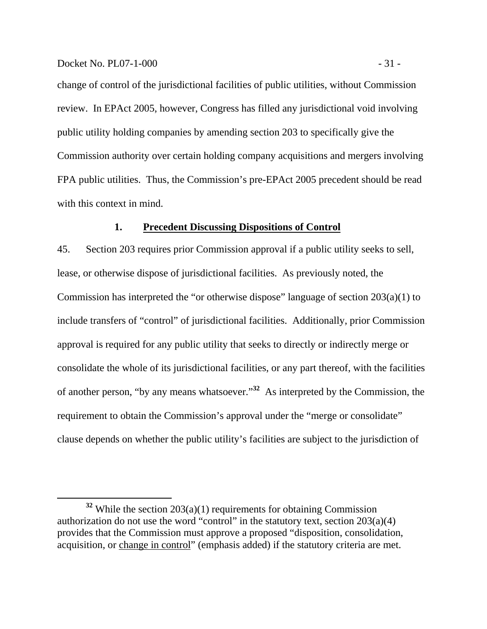change of control of the jurisdictional facilities of public utilities, without Commission review. In EPAct 2005, however, Congress has filled any jurisdictional void involving public utility holding companies by amending section 203 to specifically give the Commission authority over certain holding company acquisitions and mergers involving FPA public utilities. Thus, the Commission's pre-EPAct 2005 precedent should be read with this context in mind.

### **1. Precedent Discussing Dispositions of Control**

45. Section 203 requires prior Commission approval if a public utility seeks to sell, lease, or otherwise dispose of jurisdictional facilities. As previously noted, the Commission has interpreted the "or otherwise dispose" language of section 203(a)(1) to include transfers of "control" of jurisdictional facilities. Additionally, prior Commission approval is required for any public utility that seeks to directly or indirectly merge or consolidate the whole of its jurisdictional facilities, or any part thereof, with the facilities of another person, "by any means whatsoever."**<sup>32</sup>** As interpreted by the Commission, the requirement to obtain the Commission's approval under the "merge or consolidate" clause depends on whether the public utility's facilities are subject to the jurisdiction of

**<sup>32</sup>** While the section 203(a)(1) requirements for obtaining Commission authorization do not use the word "control" in the statutory text, section  $203(a)(4)$ provides that the Commission must approve a proposed "disposition, consolidation, acquisition, or change in control" (emphasis added) if the statutory criteria are met.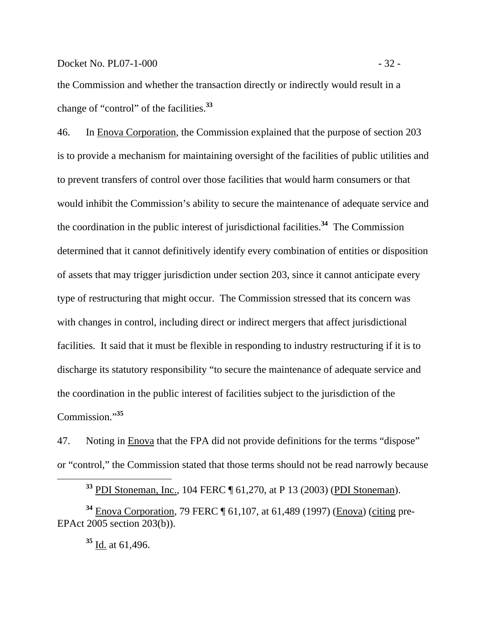Docket No. PL07-1-000 - 32 -

the Commission and whether the transaction directly or indirectly would result in a change of "control" of the facilities.**<sup>33</sup>**

46. In Enova Corporation, the Commission explained that the purpose of section 203 is to provide a mechanism for maintaining oversight of the facilities of public utilities and to prevent transfers of control over those facilities that would harm consumers or that would inhibit the Commission's ability to secure the maintenance of adequate service and the coordination in the public interest of jurisdictional facilities.**<sup>34</sup>** The Commission determined that it cannot definitively identify every combination of entities or disposition of assets that may trigger jurisdiction under section 203, since it cannot anticipate every type of restructuring that might occur. The Commission stressed that its concern was with changes in control, including direct or indirect mergers that affect jurisdictional facilities. It said that it must be flexible in responding to industry restructuring if it is to discharge its statutory responsibility "to secure the maintenance of adequate service and the coordination in the public interest of facilities subject to the jurisdiction of the Commission."**<sup>35</sup>**

47. Noting in Enova that the FPA did not provide definitions for the terms "dispose" or "control," the Commission stated that those terms should not be read narrowly because

**<sup>33</sup>** PDI Stoneman, Inc., 104 FERC ¶ 61,270, at P 13 (2003) (PDI Stoneman).

**<sup>34</sup>** Enova Corporation, 79 FERC ¶ 61,107, at 61,489 (1997) (Enova) (citing pre-EPAct 2005 section 203(b)).

**<sup>35</sup>** Id. at 61,496.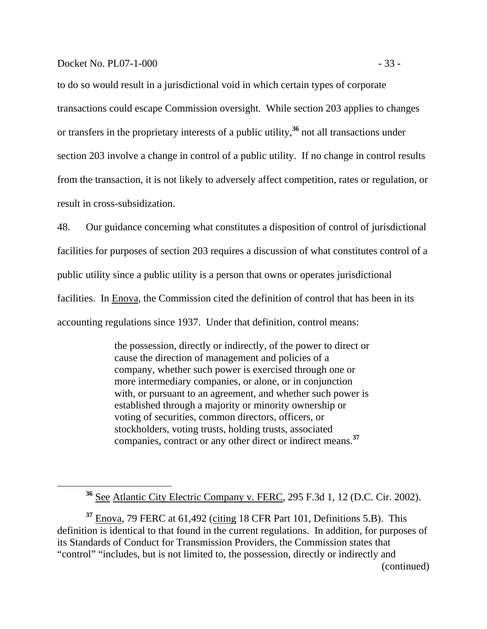to do so would result in a jurisdictional void in which certain types of corporate transactions could escape Commission oversight. While section 203 applies to changes or transfers in the proprietary interests of a public utility,**<sup>36</sup>** not all transactions under section 203 involve a change in control of a public utility. If no change in control results from the transaction, it is not likely to adversely affect competition, rates or regulation, or result in cross-subsidization.

48. Our guidance concerning what constitutes a disposition of control of jurisdictional facilities for purposes of section 203 requires a discussion of what constitutes control of a public utility since a public utility is a person that owns or operates jurisdictional facilities. In Enova, the Commission cited the definition of control that has been in its accounting regulations since 1937. Under that definition, control means:

> the possession, directly or indirectly, of the power to direct or cause the direction of management and policies of a company, whether such power is exercised through one or more intermediary companies, or alone, or in conjunction with, or pursuant to an agreement, and whether such power is established through a majority or minority ownership or voting of securities, common directors, officers, or stockholders, voting trusts, holding trusts, associated companies, contract or any other direct or indirect means.**<sup>37</sup>**

**<sup>37</sup>** Enova, 79 FERC at 61,492 (citing 18 CFR Part 101, Definitions 5.B). This definition is identical to that found in the current regulations. In addition, for purposes of its Standards of Conduct for Transmission Providers, the Commission states that "control" "includes, but is not limited to, the possession, directly or indirectly and

**<sup>36</sup>** See Atlantic City Electric Company v. FERC, 295 F.3d 1, 12 (D.C. Cir. 2002).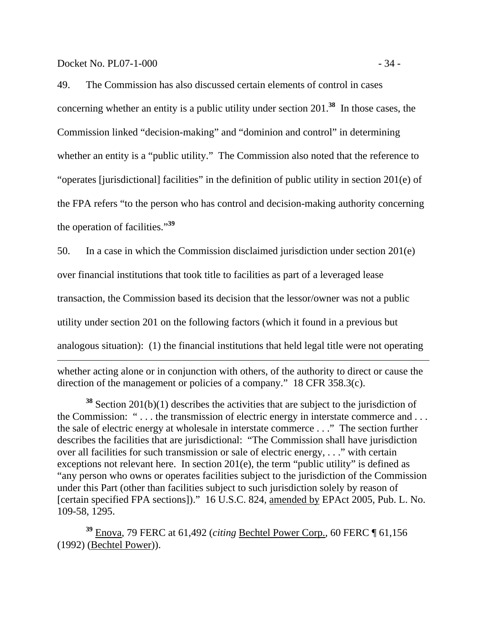Docket No. PL07-1-000 - 34 -

 $\overline{a}$ 

49. The Commission has also discussed certain elements of control in cases concerning whether an entity is a public utility under section 201.**<sup>38</sup>** In those cases, the Commission linked "decision-making" and "dominion and control" in determining whether an entity is a "public utility." The Commission also noted that the reference to "operates [jurisdictional] facilities" in the definition of public utility in section 201(e) of the FPA refers "to the person who has control and decision-making authority concerning the operation of facilities."**<sup>39</sup>**

50. In a case in which the Commission disclaimed jurisdiction under section 201(e) over financial institutions that took title to facilities as part of a leveraged lease transaction, the Commission based its decision that the lessor/owner was not a public utility under section 201 on the following factors (which it found in a previous but

analogous situation): (1) the financial institutions that held legal title were not operating

whether acting alone or in conjunction with others, of the authority to direct or cause the direction of the management or policies of a company." 18 CFR 358.3(c).

**<sup>38</sup>** Section 201(b)(1) describes the activities that are subject to the jurisdiction of the Commission: " . . . the transmission of electric energy in interstate commerce and . . . the sale of electric energy at wholesale in interstate commerce . . ." The section further describes the facilities that are jurisdictional: "The Commission shall have jurisdiction over all facilities for such transmission or sale of electric energy, . . ." with certain exceptions not relevant here. In section 201(e), the term "public utility" is defined as "any person who owns or operates facilities subject to the jurisdiction of the Commission under this Part (other than facilities subject to such jurisdiction solely by reason of [certain specified FPA sections])." 16 U.S.C. 824, amended by EPAct 2005, Pub. L. No. 109-58, 1295.

**<sup>39</sup>** Enova, 79 FERC at 61,492 (*citing* Bechtel Power Corp., 60 FERC ¶ 61,156 (1992) (Bechtel Power)).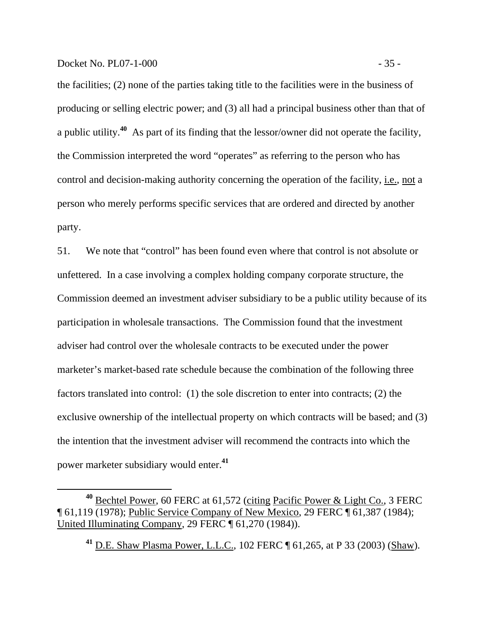the facilities; (2) none of the parties taking title to the facilities were in the business of producing or selling electric power; and (3) all had a principal business other than that of a public utility.**<sup>40</sup>** As part of its finding that the lessor/owner did not operate the facility, the Commission interpreted the word "operates" as referring to the person who has control and decision-making authority concerning the operation of the facility, i.e., not a person who merely performs specific services that are ordered and directed by another party.

51. We note that "control" has been found even where that control is not absolute or unfettered. In a case involving a complex holding company corporate structure, the Commission deemed an investment adviser subsidiary to be a public utility because of its participation in wholesale transactions. The Commission found that the investment adviser had control over the wholesale contracts to be executed under the power marketer's market-based rate schedule because the combination of the following three factors translated into control: (1) the sole discretion to enter into contracts; (2) the exclusive ownership of the intellectual property on which contracts will be based; and (3) the intention that the investment adviser will recommend the contracts into which the power marketer subsidiary would enter.**<sup>41</sup>**

**<sup>40</sup>** Bechtel Power, 60 FERC at 61,572 (citing Pacific Power & Light Co., 3 FERC ¶ 61,119 (1978); Public Service Company of New Mexico, 29 FERC ¶ 61,387 (1984); United Illuminating Company, 29 FERC ¶ 61,270 (1984)).

**<sup>41</sup>** D.E. Shaw Plasma Power, L.L.C., 102 FERC ¶ 61,265, at P 33 (2003) (Shaw).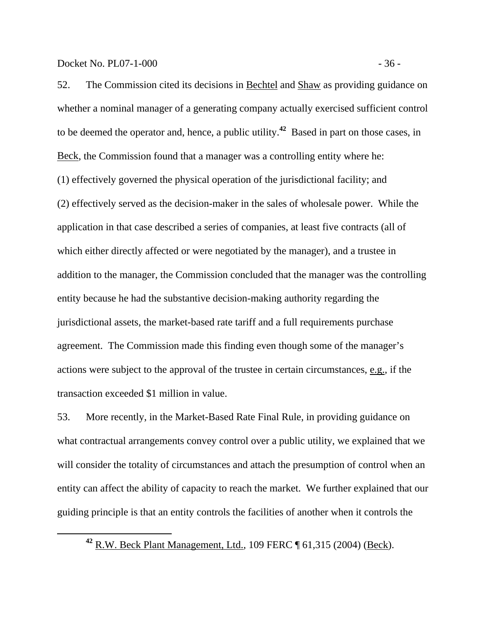Docket No. PL07-1-000 - 36 -

52. The Commission cited its decisions in **Bechtel and Shaw** as providing guidance on whether a nominal manager of a generating company actually exercised sufficient control to be deemed the operator and, hence, a public utility.**<sup>42</sup>** Based in part on those cases, in Beck, the Commission found that a manager was a controlling entity where he: (1) effectively governed the physical operation of the jurisdictional facility; and (2) effectively served as the decision-maker in the sales of wholesale power. While the application in that case described a series of companies, at least five contracts (all of which either directly affected or were negotiated by the manager), and a trustee in addition to the manager, the Commission concluded that the manager was the controlling entity because he had the substantive decision-making authority regarding the jurisdictional assets, the market-based rate tariff and a full requirements purchase agreement. The Commission made this finding even though some of the manager's actions were subject to the approval of the trustee in certain circumstances, e.g., if the transaction exceeded \$1 million in value.

53. More recently, in the Market-Based Rate Final Rule, in providing guidance on what contractual arrangements convey control over a public utility, we explained that we will consider the totality of circumstances and attach the presumption of control when an entity can affect the ability of capacity to reach the market. We further explained that our guiding principle is that an entity controls the facilities of another when it controls the

**<sup>42</sup>** R.W. Beck Plant Management, Ltd., 109 FERC ¶ 61,315 (2004) (Beck).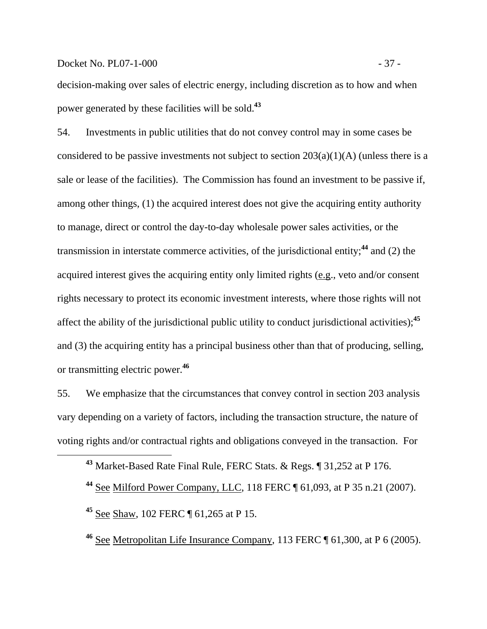## Docket No. PL07-1-000 - 37 -

decision-making over sales of electric energy, including discretion as to how and when power generated by these facilities will be sold.**<sup>43</sup>**

54. Investments in public utilities that do not convey control may in some cases be considered to be passive investments not subject to section  $203(a)(1)(A)$  (unless there is a sale or lease of the facilities). The Commission has found an investment to be passive if, among other things, (1) the acquired interest does not give the acquiring entity authority to manage, direct or control the day-to-day wholesale power sales activities, or the transmission in interstate commerce activities, of the jurisdictional entity;**<sup>44</sup>** and (2) the acquired interest gives the acquiring entity only limited rights (e.g., veto and/or consent rights necessary to protect its economic investment interests, where those rights will not affect the ability of the jurisdictional public utility to conduct jurisdictional activities);**<sup>45</sup>** and (3) the acquiring entity has a principal business other than that of producing, selling, or transmitting electric power.**<sup>46</sup>**

55. We emphasize that the circumstances that convey control in section 203 analysis vary depending on a variety of factors, including the transaction structure, the nature of voting rights and/or contractual rights and obligations conveyed in the transaction. For

**<sup>43</sup>** Market-Based Rate Final Rule, FERC Stats. & Regs. ¶ 31,252 at P 176.

**<sup>44</sup>** See Milford Power Company, LLC, 118 FERC ¶ 61,093, at P 35 n.21 (2007).

**<sup>45</sup>** See Shaw, 102 FERC ¶ 61,265 at P 15.

**<sup>46</sup>** See Metropolitan Life Insurance Company, 113 FERC ¶ 61,300, at P 6 (2005).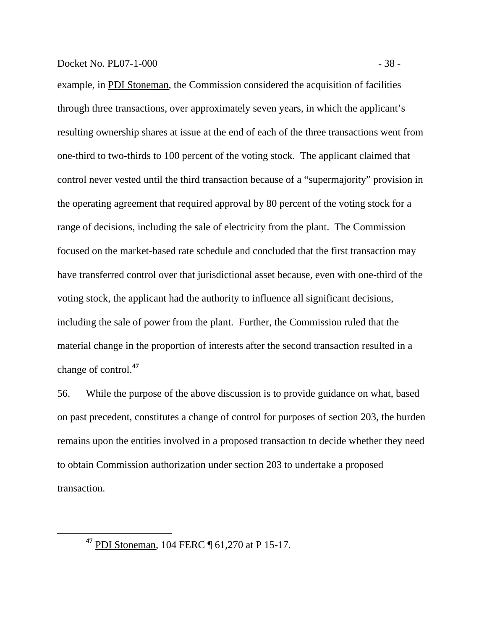example, in PDI Stoneman, the Commission considered the acquisition of facilities through three transactions, over approximately seven years, in which the applicant's resulting ownership shares at issue at the end of each of the three transactions went from one-third to two-thirds to 100 percent of the voting stock. The applicant claimed that control never vested until the third transaction because of a "supermajority" provision in the operating agreement that required approval by 80 percent of the voting stock for a range of decisions, including the sale of electricity from the plant. The Commission focused on the market-based rate schedule and concluded that the first transaction may have transferred control over that jurisdictional asset because, even with one-third of the voting stock, the applicant had the authority to influence all significant decisions, including the sale of power from the plant. Further, the Commission ruled that the material change in the proportion of interests after the second transaction resulted in a change of control.**<sup>47</sup>**

56. While the purpose of the above discussion is to provide guidance on what, based on past precedent, constitutes a change of control for purposes of section 203, the burden remains upon the entities involved in a proposed transaction to decide whether they need to obtain Commission authorization under section 203 to undertake a proposed transaction.

**<sup>47</sup>** PDI Stoneman, 104 FERC ¶ 61,270 at P 15-17.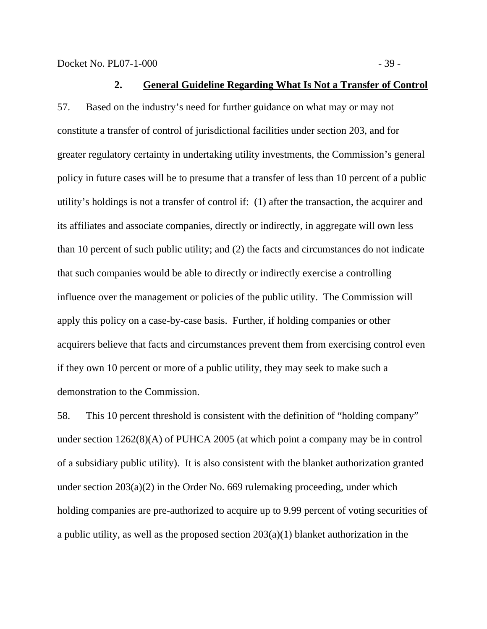Docket No. PL07-1-000 - 39 -

57. Based on the industry's need for further guidance on what may or may not constitute a transfer of control of jurisdictional facilities under section 203, and for greater regulatory certainty in undertaking utility investments, the Commission's general policy in future cases will be to presume that a transfer of less than 10 percent of a public utility's holdings is not a transfer of control if: (1) after the transaction, the acquirer and its affiliates and associate companies, directly or indirectly, in aggregate will own less than 10 percent of such public utility; and (2) the facts and circumstances do not indicate that such companies would be able to directly or indirectly exercise a controlling influence over the management or policies of the public utility. The Commission will apply this policy on a case-by-case basis. Further, if holding companies or other acquirers believe that facts and circumstances prevent them from exercising control even if they own 10 percent or more of a public utility, they may seek to make such a demonstration to the Commission.

58. This 10 percent threshold is consistent with the definition of "holding company" under section 1262(8)(A) of PUHCA 2005 (at which point a company may be in control of a subsidiary public utility). It is also consistent with the blanket authorization granted under section 203(a)(2) in the Order No. 669 rulemaking proceeding, under which holding companies are pre-authorized to acquire up to 9.99 percent of voting securities of a public utility, as well as the proposed section 203(a)(1) blanket authorization in the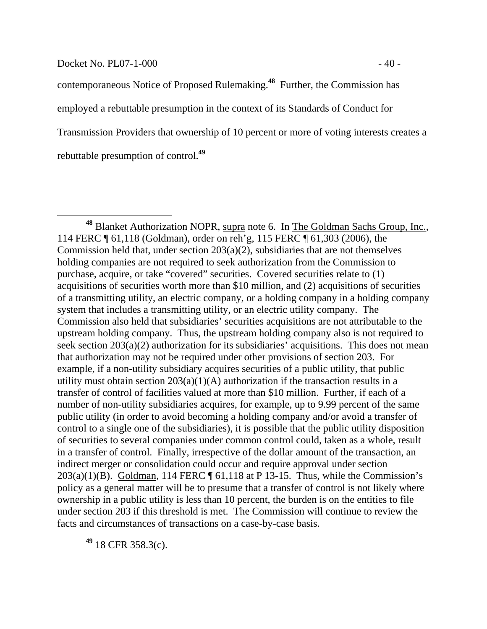#### Docket No. PL07-1-000 - 40 -

contemporaneous Notice of Proposed Rulemaking.**<sup>48</sup>** Further, the Commission has employed a rebuttable presumption in the context of its Standards of Conduct for Transmission Providers that ownership of 10 percent or more of voting interests creates a rebuttable presumption of control.**<sup>49</sup>**

**<sup>49</sup>** 18 CFR 358.3(c).

**<sup>48</sup>** Blanket Authorization NOPR, supra note 6. In The Goldman Sachs Group, Inc., 114 FERC ¶ 61,118 (Goldman), order on reh'g, 115 FERC ¶ 61,303 (2006), the Commission held that, under section 203(a)(2), subsidiaries that are not themselves holding companies are not required to seek authorization from the Commission to purchase, acquire, or take "covered" securities. Covered securities relate to (1) acquisitions of securities worth more than \$10 million, and (2) acquisitions of securities of a transmitting utility, an electric company, or a holding company in a holding company system that includes a transmitting utility, or an electric utility company. The Commission also held that subsidiaries' securities acquisitions are not attributable to the upstream holding company. Thus, the upstream holding company also is not required to seek section 203(a)(2) authorization for its subsidiaries' acquisitions. This does not mean that authorization may not be required under other provisions of section 203. For example, if a non-utility subsidiary acquires securities of a public utility, that public utility must obtain section 203(a)(1)(A) authorization if the transaction results in a transfer of control of facilities valued at more than \$10 million. Further, if each of a number of non-utility subsidiaries acquires, for example, up to 9.99 percent of the same public utility (in order to avoid becoming a holding company and/or avoid a transfer of control to a single one of the subsidiaries), it is possible that the public utility disposition of securities to several companies under common control could, taken as a whole, result in a transfer of control. Finally, irrespective of the dollar amount of the transaction, an indirect merger or consolidation could occur and require approval under section 203(a)(1)(B). Goldman, 114 FERC  $\P$  61,118 at P 13-15. Thus, while the Commission's policy as a general matter will be to presume that a transfer of control is not likely where ownership in a public utility is less than 10 percent, the burden is on the entities to file under section 203 if this threshold is met. The Commission will continue to review the facts and circumstances of transactions on a case-by-case basis.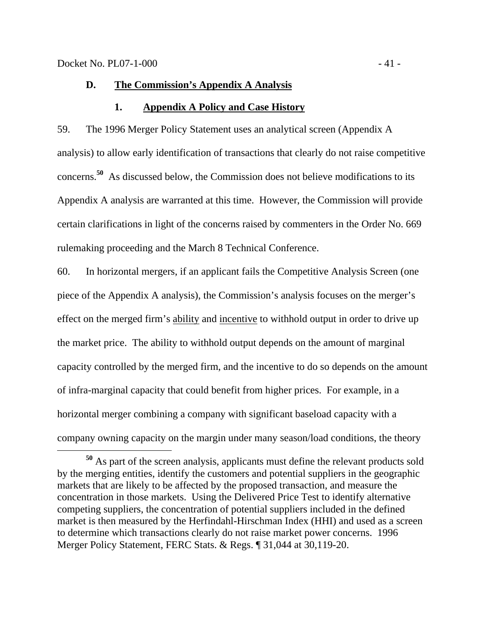## **D. The Commission's Appendix A Analysis**

## **1. Appendix A Policy and Case History**

59. The 1996 Merger Policy Statement uses an analytical screen (Appendix A analysis) to allow early identification of transactions that clearly do not raise competitive concerns.**<sup>50</sup>** As discussed below, the Commission does not believe modifications to its Appendix A analysis are warranted at this time. However, the Commission will provide certain clarifications in light of the concerns raised by commenters in the Order No. 669 rulemaking proceeding and the March 8 Technical Conference.

60. In horizontal mergers, if an applicant fails the Competitive Analysis Screen (one piece of the Appendix A analysis), the Commission's analysis focuses on the merger's effect on the merged firm's ability and incentive to withhold output in order to drive up the market price. The ability to withhold output depends on the amount of marginal capacity controlled by the merged firm, and the incentive to do so depends on the amount of infra-marginal capacity that could benefit from higher prices. For example, in a horizontal merger combining a company with significant baseload capacity with a company owning capacity on the margin under many season/load conditions, the theory

**<sup>50</sup>** As part of the screen analysis, applicants must define the relevant products sold by the merging entities, identify the customers and potential suppliers in the geographic markets that are likely to be affected by the proposed transaction, and measure the concentration in those markets. Using the Delivered Price Test to identify alternative competing suppliers, the concentration of potential suppliers included in the defined market is then measured by the Herfindahl-Hirschman Index (HHI) and used as a screen to determine which transactions clearly do not raise market power concerns. 1996 Merger Policy Statement, FERC Stats. & Regs. ¶ 31,044 at 30,119-20.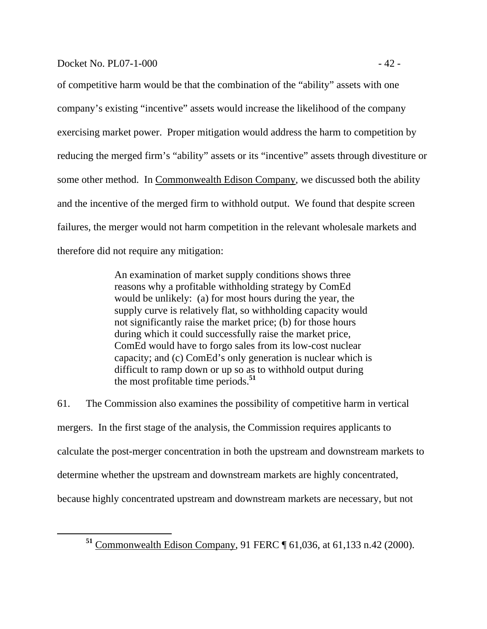of competitive harm would be that the combination of the "ability" assets with one company's existing "incentive" assets would increase the likelihood of the company exercising market power. Proper mitigation would address the harm to competition by reducing the merged firm's "ability" assets or its "incentive" assets through divestiture or some other method. In Commonwealth Edison Company, we discussed both the ability and the incentive of the merged firm to withhold output. We found that despite screen failures, the merger would not harm competition in the relevant wholesale markets and therefore did not require any mitigation:

> An examination of market supply conditions shows three reasons why a profitable withholding strategy by ComEd would be unlikely: (a) for most hours during the year, the supply curve is relatively flat, so withholding capacity would not significantly raise the market price; (b) for those hours during which it could successfully raise the market price, ComEd would have to forgo sales from its low-cost nuclear capacity; and (c) ComEd's only generation is nuclear which is difficult to ramp down or up so as to withhold output during the most profitable time periods.**<sup>51</sup>**

61. The Commission also examines the possibility of competitive harm in vertical mergers. In the first stage of the analysis, the Commission requires applicants to calculate the post-merger concentration in both the upstream and downstream markets to determine whether the upstream and downstream markets are highly concentrated, because highly concentrated upstream and downstream markets are necessary, but not

**<sup>51</sup>** Commonwealth Edison Company, 91 FERC ¶ 61,036, at 61,133 n.42 (2000).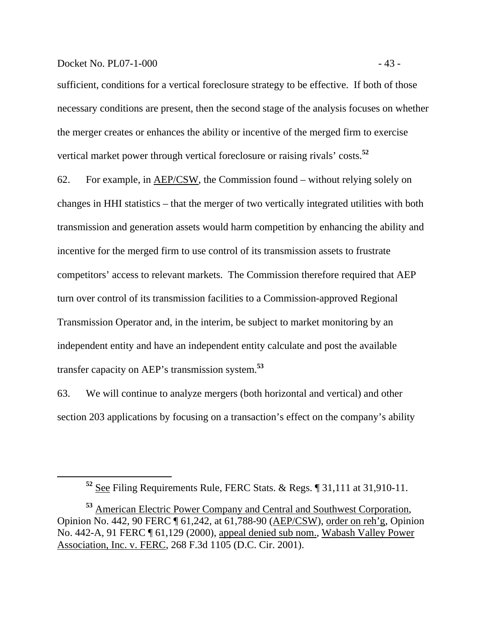#### Docket No. PL07-1-000 - 43 -

sufficient, conditions for a vertical foreclosure strategy to be effective. If both of those necessary conditions are present, then the second stage of the analysis focuses on whether the merger creates or enhances the ability or incentive of the merged firm to exercise vertical market power through vertical foreclosure or raising rivals' costs.**<sup>52</sup>**

62. For example, in AEP/CSW, the Commission found – without relying solely on changes in HHI statistics – that the merger of two vertically integrated utilities with both transmission and generation assets would harm competition by enhancing the ability and incentive for the merged firm to use control of its transmission assets to frustrate competitors' access to relevant markets. The Commission therefore required that AEP turn over control of its transmission facilities to a Commission-approved Regional Transmission Operator and, in the interim, be subject to market monitoring by an independent entity and have an independent entity calculate and post the available transfer capacity on AEP's transmission system.**<sup>53</sup>**

63. We will continue to analyze mergers (both horizontal and vertical) and other section 203 applications by focusing on a transaction's effect on the company's ability

**<sup>52</sup>** See Filing Requirements Rule, FERC Stats. & Regs. ¶ 31,111 at 31,910-11.

**<sup>53</sup>** American Electric Power Company and Central and Southwest Corporation, Opinion No. 442, 90 FERC ¶ 61,242, at 61,788-90 (AEP/CSW), order on reh'g, Opinion No. 442-A, 91 FERC ¶ 61,129 (2000), appeal denied sub nom., Wabash Valley Power Association, Inc. v. FERC, 268 F.3d 1105 (D.C. Cir. 2001).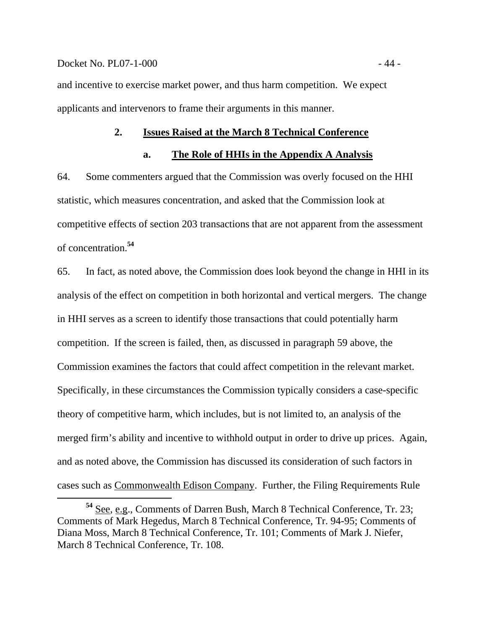#### Docket No. PL07-1-000 - 44 -

and incentive to exercise market power, and thus harm competition. We expect applicants and intervenors to frame their arguments in this manner.

#### **2. Issues Raised at the March 8 Technical Conference**

#### **a. The Role of HHIs in the Appendix A Analysis**

64. Some commenters argued that the Commission was overly focused on the HHI statistic, which measures concentration, and asked that the Commission look at competitive effects of section 203 transactions that are not apparent from the assessment of concentration.**<sup>54</sup>**

65. In fact, as noted above, the Commission does look beyond the change in HHI in its analysis of the effect on competition in both horizontal and vertical mergers. The change in HHI serves as a screen to identify those transactions that could potentially harm competition. If the screen is failed, then, as discussed in paragraph 59 above, the Commission examines the factors that could affect competition in the relevant market. Specifically, in these circumstances the Commission typically considers a case-specific theory of competitive harm, which includes, but is not limited to, an analysis of the merged firm's ability and incentive to withhold output in order to drive up prices. Again, and as noted above, the Commission has discussed its consideration of such factors in cases such as Commonwealth Edison Company. Further, the Filing Requirements Rule

**<sup>54</sup>** See, e.g., Comments of Darren Bush, March 8 Technical Conference, Tr. 23; Comments of Mark Hegedus, March 8 Technical Conference, Tr. 94-95; Comments of Diana Moss, March 8 Technical Conference, Tr. 101; Comments of Mark J. Niefer, March 8 Technical Conference, Tr. 108.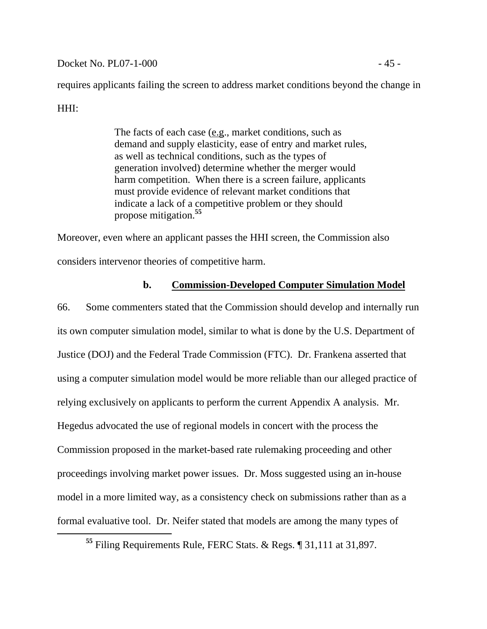Docket No. PL07-1-000 - 45 -

requires applicants failing the screen to address market conditions beyond the change in

# HHI:

The facts of each case (e.g., market conditions, such as demand and supply elasticity, ease of entry and market rules, as well as technical conditions, such as the types of generation involved) determine whether the merger would harm competition. When there is a screen failure, applicants must provide evidence of relevant market conditions that indicate a lack of a competitive problem or they should propose mitigation.**<sup>55</sup>**

Moreover, even where an applicant passes the HHI screen, the Commission also considers intervenor theories of competitive harm.

# **b. Commission-Developed Computer Simulation Model**

66. Some commenters stated that the Commission should develop and internally run its own computer simulation model, similar to what is done by the U.S. Department of Justice (DOJ) and the Federal Trade Commission (FTC). Dr. Frankena asserted that using a computer simulation model would be more reliable than our alleged practice of relying exclusively on applicants to perform the current Appendix A analysis. Mr. Hegedus advocated the use of regional models in concert with the process the Commission proposed in the market-based rate rulemaking proceeding and other proceedings involving market power issues. Dr. Moss suggested using an in-house model in a more limited way, as a consistency check on submissions rather than as a formal evaluative tool. Dr. Neifer stated that models are among the many types of

**<sup>55</sup>** Filing Requirements Rule, FERC Stats. & Regs. ¶ 31,111 at 31,897.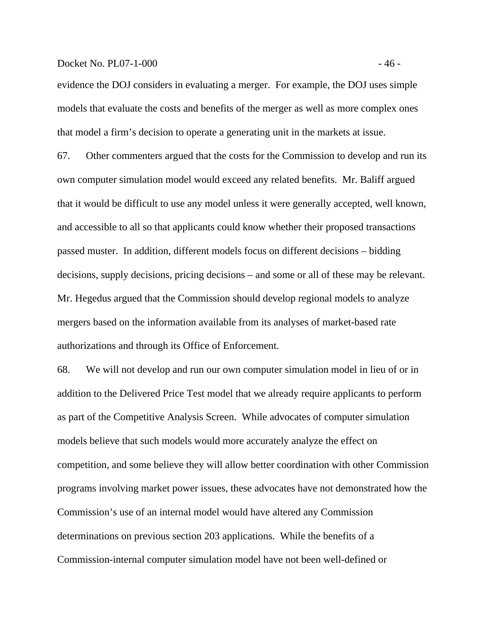#### Docket No. PL07-1-000 - 46 -

evidence the DOJ considers in evaluating a merger. For example, the DOJ uses simple models that evaluate the costs and benefits of the merger as well as more complex ones that model a firm's decision to operate a generating unit in the markets at issue.

67. Other commenters argued that the costs for the Commission to develop and run its own computer simulation model would exceed any related benefits. Mr. Baliff argued that it would be difficult to use any model unless it were generally accepted, well known, and accessible to all so that applicants could know whether their proposed transactions passed muster. In addition, different models focus on different decisions – bidding decisions, supply decisions, pricing decisions – and some or all of these may be relevant. Mr. Hegedus argued that the Commission should develop regional models to analyze mergers based on the information available from its analyses of market-based rate authorizations and through its Office of Enforcement.

68. We will not develop and run our own computer simulation model in lieu of or in addition to the Delivered Price Test model that we already require applicants to perform as part of the Competitive Analysis Screen. While advocates of computer simulation models believe that such models would more accurately analyze the effect on competition, and some believe they will allow better coordination with other Commission programs involving market power issues, these advocates have not demonstrated how the Commission's use of an internal model would have altered any Commission determinations on previous section 203 applications. While the benefits of a Commission-internal computer simulation model have not been well-defined or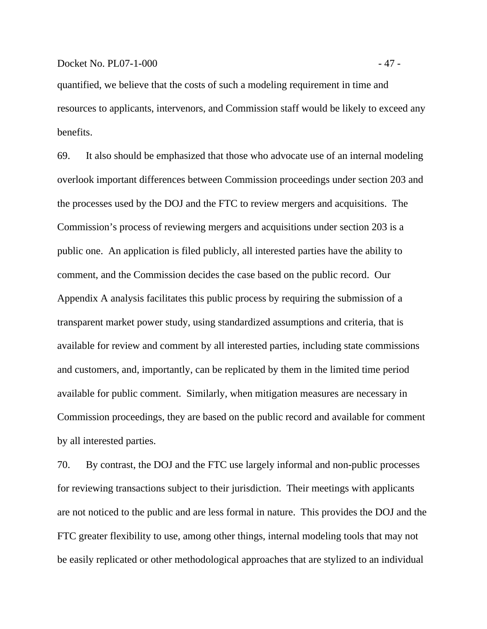quantified, we believe that the costs of such a modeling requirement in time and resources to applicants, intervenors, and Commission staff would be likely to exceed any benefits.

69. It also should be emphasized that those who advocate use of an internal modeling overlook important differences between Commission proceedings under section 203 and the processes used by the DOJ and the FTC to review mergers and acquisitions. The Commission's process of reviewing mergers and acquisitions under section 203 is a public one. An application is filed publicly, all interested parties have the ability to comment, and the Commission decides the case based on the public record. Our Appendix A analysis facilitates this public process by requiring the submission of a transparent market power study, using standardized assumptions and criteria, that is available for review and comment by all interested parties, including state commissions and customers, and, importantly, can be replicated by them in the limited time period available for public comment. Similarly, when mitigation measures are necessary in Commission proceedings, they are based on the public record and available for comment by all interested parties.

70. By contrast, the DOJ and the FTC use largely informal and non-public processes for reviewing transactions subject to their jurisdiction. Their meetings with applicants are not noticed to the public and are less formal in nature. This provides the DOJ and the FTC greater flexibility to use, among other things, internal modeling tools that may not be easily replicated or other methodological approaches that are stylized to an individual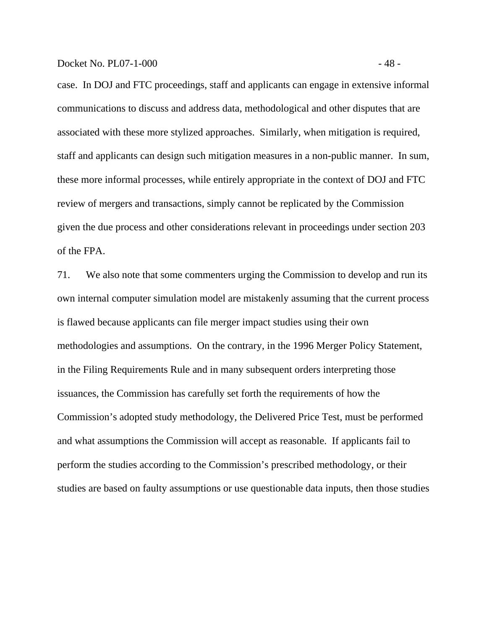case. In DOJ and FTC proceedings, staff and applicants can engage in extensive informal communications to discuss and address data, methodological and other disputes that are associated with these more stylized approaches. Similarly, when mitigation is required, staff and applicants can design such mitigation measures in a non-public manner. In sum, these more informal processes, while entirely appropriate in the context of DOJ and FTC review of mergers and transactions, simply cannot be replicated by the Commission given the due process and other considerations relevant in proceedings under section 203 of the FPA.

71. We also note that some commenters urging the Commission to develop and run its own internal computer simulation model are mistakenly assuming that the current process is flawed because applicants can file merger impact studies using their own methodologies and assumptions. On the contrary, in the 1996 Merger Policy Statement, in the Filing Requirements Rule and in many subsequent orders interpreting those issuances, the Commission has carefully set forth the requirements of how the Commission's adopted study methodology, the Delivered Price Test, must be performed and what assumptions the Commission will accept as reasonable. If applicants fail to perform the studies according to the Commission's prescribed methodology, or their studies are based on faulty assumptions or use questionable data inputs, then those studies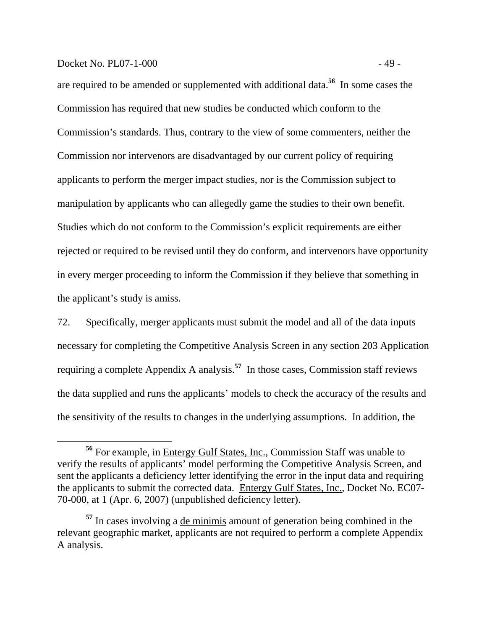## Docket No. PL07-1-000 - 49 -

are required to be amended or supplemented with additional data.**<sup>56</sup>** In some cases the Commission has required that new studies be conducted which conform to the Commission's standards. Thus, contrary to the view of some commenters, neither the Commission nor intervenors are disadvantaged by our current policy of requiring applicants to perform the merger impact studies, nor is the Commission subject to manipulation by applicants who can allegedly game the studies to their own benefit. Studies which do not conform to the Commission's explicit requirements are either rejected or required to be revised until they do conform, and intervenors have opportunity in every merger proceeding to inform the Commission if they believe that something in the applicant's study is amiss.

72. Specifically, merger applicants must submit the model and all of the data inputs necessary for completing the Competitive Analysis Screen in any section 203 Application requiring a complete Appendix A analysis.**<sup>57</sup>** In those cases, Commission staff reviews the data supplied and runs the applicants' models to check the accuracy of the results and the sensitivity of the results to changes in the underlying assumptions. In addition, the

**<sup>56</sup>** For example, in Entergy Gulf States, Inc., Commission Staff was unable to verify the results of applicants' model performing the Competitive Analysis Screen, and sent the applicants a deficiency letter identifying the error in the input data and requiring the applicants to submit the corrected data. Entergy Gulf States, Inc., Docket No. EC07- 70-000, at 1 (Apr. 6, 2007) (unpublished deficiency letter).

**<sup>57</sup>** In cases involving a de minimis amount of generation being combined in the relevant geographic market, applicants are not required to perform a complete Appendix A analysis.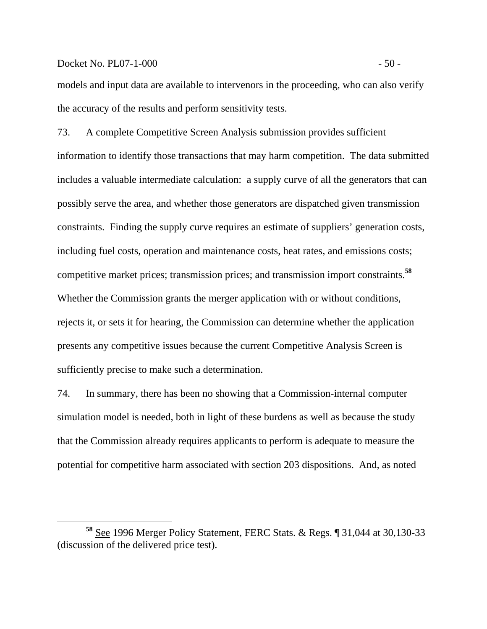#### Docket No. PL07-1-000 - 50 -

models and input data are available to intervenors in the proceeding, who can also verify the accuracy of the results and perform sensitivity tests.

73. A complete Competitive Screen Analysis submission provides sufficient information to identify those transactions that may harm competition. The data submitted includes a valuable intermediate calculation: a supply curve of all the generators that can possibly serve the area, and whether those generators are dispatched given transmission constraints. Finding the supply curve requires an estimate of suppliers' generation costs, including fuel costs, operation and maintenance costs, heat rates, and emissions costs; competitive market prices; transmission prices; and transmission import constraints.**<sup>58</sup>** Whether the Commission grants the merger application with or without conditions, rejects it, or sets it for hearing, the Commission can determine whether the application presents any competitive issues because the current Competitive Analysis Screen is sufficiently precise to make such a determination.

74. In summary, there has been no showing that a Commission-internal computer simulation model is needed, both in light of these burdens as well as because the study that the Commission already requires applicants to perform is adequate to measure the potential for competitive harm associated with section 203 dispositions. And, as noted

**<sup>58</sup>** See 1996 Merger Policy Statement, FERC Stats. & Regs. ¶ 31,044 at 30,130-33 (discussion of the delivered price test).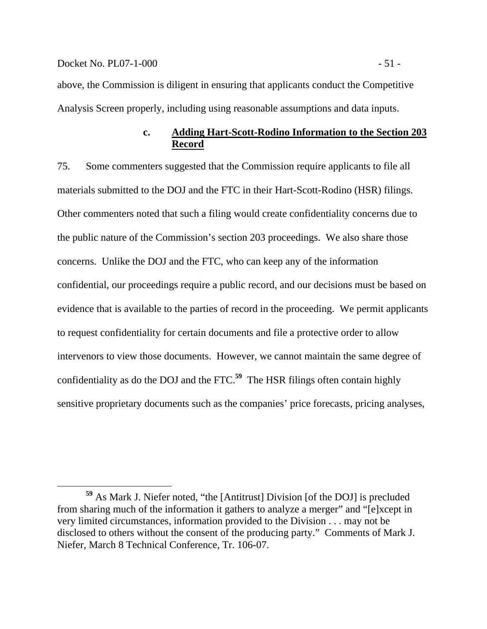above, the Commission is diligent in ensuring that applicants conduct the Competitive Analysis Screen properly, including using reasonable assumptions and data inputs.

## **c. Adding Hart-Scott-Rodino Information to the Section 203 Record**

75. Some commenters suggested that the Commission require applicants to file all materials submitted to the DOJ and the FTC in their Hart-Scott-Rodino (HSR) filings. Other commenters noted that such a filing would create confidentiality concerns due to the public nature of the Commission's section 203 proceedings. We also share those concerns. Unlike the DOJ and the FTC, who can keep any of the information confidential, our proceedings require a public record, and our decisions must be based on evidence that is available to the parties of record in the proceeding. We permit applicants to request confidentiality for certain documents and file a protective order to allow intervenors to view those documents. However, we cannot maintain the same degree of confidentiality as do the DOJ and the FTC.**<sup>59</sup>** The HSR filings often contain highly sensitive proprietary documents such as the companies' price forecasts, pricing analyses,

**<sup>59</sup>** As Mark J. Niefer noted, "the [Antitrust] Division [of the DOJ] is precluded from sharing much of the information it gathers to analyze a merger" and "[e]xcept in very limited circumstances, information provided to the Division . . . may not be disclosed to others without the consent of the producing party." Comments of Mark J. Niefer, March 8 Technical Conference, Tr. 106-07.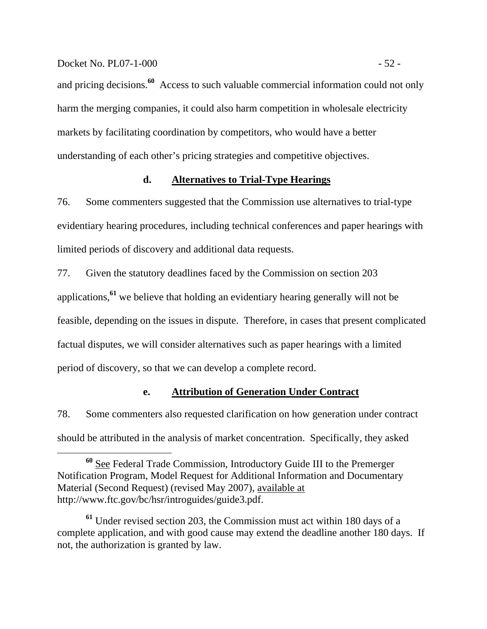#### Docket No. PL07-1-000 - 52 -

and pricing decisions.**<sup>60</sup>** Access to such valuable commercial information could not only harm the merging companies, it could also harm competition in wholesale electricity markets by facilitating coordination by competitors, who would have a better understanding of each other's pricing strategies and competitive objectives.

## **d. Alternatives to Trial-Type Hearings**

76. Some commenters suggested that the Commission use alternatives to trial-type evidentiary hearing procedures, including technical conferences and paper hearings with limited periods of discovery and additional data requests.

77. Given the statutory deadlines faced by the Commission on section 203 applications,**<sup>61</sup>** we believe that holding an evidentiary hearing generally will not be feasible, depending on the issues in dispute. Therefore, in cases that present complicated factual disputes, we will consider alternatives such as paper hearings with a limited period of discovery, so that we can develop a complete record.

## **e. Attribution of Generation Under Contract**

78. Some commenters also requested clarification on how generation under contract should be attributed in the analysis of market concentration. Specifically, they asked

**<sup>60</sup>** See Federal Trade Commission, Introductory Guide III to the Premerger Notification Program, Model Request for Additional Information and Documentary Material (Second Request) (revised May 2007), available at http://www.ftc.gov/bc/hsr/introguides/guide3.pdf.

**<sup>61</sup>** Under revised section 203, the Commission must act within 180 days of a complete application, and with good cause may extend the deadline another 180 days. If not, the authorization is granted by law.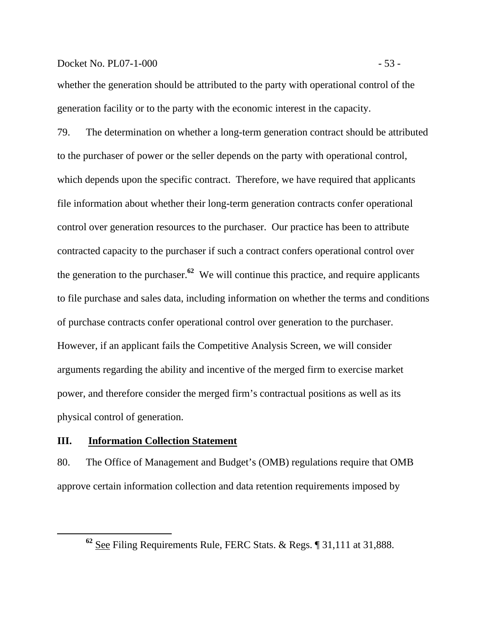## Docket No. PL07-1-000 - 53 -

whether the generation should be attributed to the party with operational control of the generation facility or to the party with the economic interest in the capacity.

79. The determination on whether a long-term generation contract should be attributed to the purchaser of power or the seller depends on the party with operational control, which depends upon the specific contract. Therefore, we have required that applicants file information about whether their long-term generation contracts confer operational control over generation resources to the purchaser. Our practice has been to attribute contracted capacity to the purchaser if such a contract confers operational control over the generation to the purchaser.**<sup>62</sup>** We will continue this practice, and require applicants to file purchase and sales data, including information on whether the terms and conditions of purchase contracts confer operational control over generation to the purchaser. However, if an applicant fails the Competitive Analysis Screen, we will consider arguments regarding the ability and incentive of the merged firm to exercise market power, and therefore consider the merged firm's contractual positions as well as its physical control of generation.

## **III. Information Collection Statement**

80. The Office of Management and Budget's (OMB) regulations require that OMB approve certain information collection and data retention requirements imposed by

**<sup>62</sup>** See Filing Requirements Rule, FERC Stats. & Regs. ¶ 31,111 at 31,888.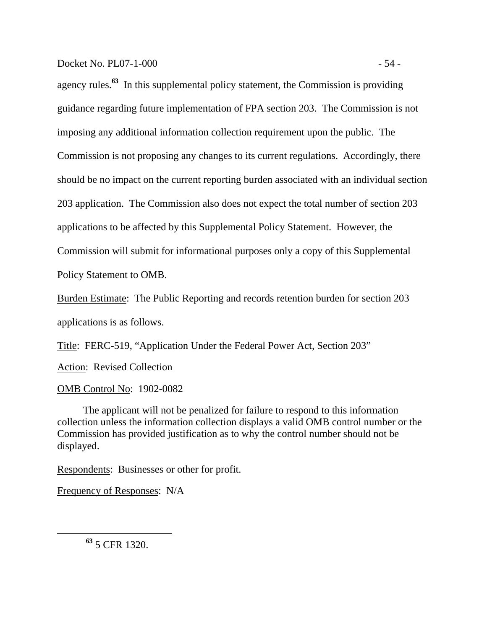#### Docket No. PL07-1-000 - 54 -

agency rules.**<sup>63</sup>** In this supplemental policy statement, the Commission is providing guidance regarding future implementation of FPA section 203. The Commission is not imposing any additional information collection requirement upon the public. The Commission is not proposing any changes to its current regulations. Accordingly, there should be no impact on the current reporting burden associated with an individual section 203 application. The Commission also does not expect the total number of section 203 applications to be affected by this Supplemental Policy Statement. However, the Commission will submit for informational purposes only a copy of this Supplemental Policy Statement to OMB.

Burden Estimate: The Public Reporting and records retention burden for section 203 applications is as follows.

Title: FERC-519, "Application Under the Federal Power Act, Section 203"

Action: Revised Collection

OMB Control No: 1902-0082

 The applicant will not be penalized for failure to respond to this information collection unless the information collection displays a valid OMB control number or the Commission has provided justification as to why the control number should not be displayed.

Respondents: Businesses or other for profit.

Frequency of Responses: N/A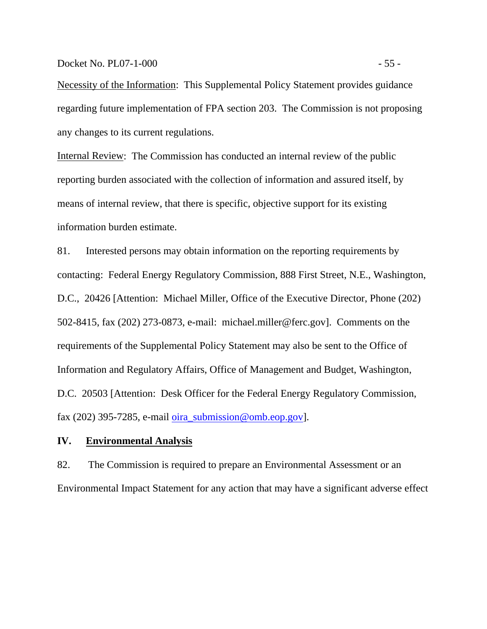#### Docket No. PL07-1-000 - 55 -

Necessity of the Information: This Supplemental Policy Statement provides guidance regarding future implementation of FPA section 203. The Commission is not proposing any changes to its current regulations.

Internal Review: The Commission has conducted an internal review of the public reporting burden associated with the collection of information and assured itself, by means of internal review, that there is specific, objective support for its existing information burden estimate.

81. Interested persons may obtain information on the reporting requirements by contacting: Federal Energy Regulatory Commission, 888 First Street, N.E., Washington, D.C., 20426 [Attention: Michael Miller, Office of the Executive Director, Phone (202) 502-8415, fax (202) 273-0873, e-mail: michael.miller@ferc.gov]. Comments on the requirements of the Supplemental Policy Statement may also be sent to the Office of Information and Regulatory Affairs, Office of Management and Budget, Washington, D.C. 20503 [Attention: Desk Officer for the Federal Energy Regulatory Commission, fax (202) 395-7285, e-mail oira\_submission@omb.eop.gov].

## **IV. Environmental Analysis**

82. The Commission is required to prepare an Environmental Assessment or an Environmental Impact Statement for any action that may have a significant adverse effect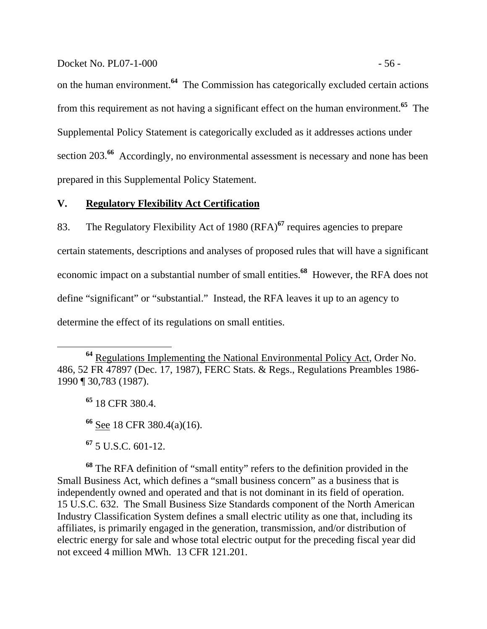#### Docket No. PL07-1-000 - 56 -

on the human environment.**<sup>64</sup>** The Commission has categorically excluded certain actions from this requirement as not having a significant effect on the human environment.**<sup>65</sup>** The Supplemental Policy Statement is categorically excluded as it addresses actions under section 203.<sup>66</sup> Accordingly, no environmental assessment is necessary and none has been prepared in this Supplemental Policy Statement.

## **V. Regulatory Flexibility Act Certification**

83. The Regulatory Flexibility Act of 1980 (RFA)**<sup>67</sup>** requires agencies to prepare certain statements, descriptions and analyses of proposed rules that will have a significant economic impact on a substantial number of small entities.**<sup>68</sup>** However, the RFA does not define "significant" or "substantial." Instead, the RFA leaves it up to an agency to determine the effect of its regulations on small entities.

**<sup>65</sup>** 18 CFR 380.4.

**<sup>66</sup>** See 18 CFR 380.4(a)(16).

**<sup>67</sup>** 5 U.S.C. 601-12.

**<sup>68</sup>** The RFA definition of "small entity" refers to the definition provided in the Small Business Act, which defines a "small business concern" as a business that is independently owned and operated and that is not dominant in its field of operation. 15 U.S.C. 632. The Small Business Size Standards component of the North American Industry Classification System defines a small electric utility as one that, including its affiliates, is primarily engaged in the generation, transmission, and/or distribution of electric energy for sale and whose total electric output for the preceding fiscal year did not exceed 4 million MWh. 13 CFR 121.201.

**<sup>64</sup>** Regulations Implementing the National Environmental Policy Act, Order No. 486, 52 FR 47897 (Dec. 17, 1987), FERC Stats. & Regs., Regulations Preambles 1986- 1990 ¶ 30,783 (1987).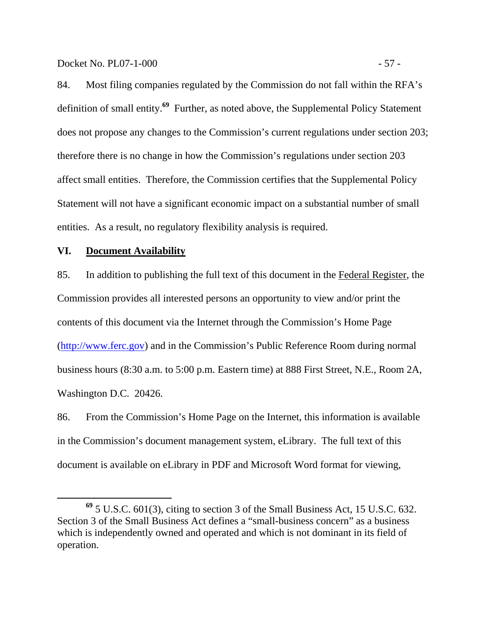Docket No. PL07-1-000 - 57 -

84. Most filing companies regulated by the Commission do not fall within the RFA's definition of small entity.**<sup>69</sup>** Further, as noted above, the Supplemental Policy Statement does not propose any changes to the Commission's current regulations under section 203; therefore there is no change in how the Commission's regulations under section 203 affect small entities. Therefore, the Commission certifies that the Supplemental Policy Statement will not have a significant economic impact on a substantial number of small entities. As a result, no regulatory flexibility analysis is required.

## **VI. Document Availability**

85. In addition to publishing the full text of this document in the Federal Register, the Commission provides all interested persons an opportunity to view and/or print the contents of this document via the Internet through the Commission's Home Page (http://www.ferc.gov) and in the Commission's Public Reference Room during normal business hours (8:30 a.m. to 5:00 p.m. Eastern time) at 888 First Street, N.E., Room 2A, Washington D.C. 20426.

86. From the Commission's Home Page on the Internet, this information is available in the Commission's document management system, eLibrary. The full text of this document is available on eLibrary in PDF and Microsoft Word format for viewing,

**<sup>69</sup>** 5 U.S.C. 601(3), citing to section 3 of the Small Business Act, 15 U.S.C. 632. Section 3 of the Small Business Act defines a "small-business concern" as a business which is independently owned and operated and which is not dominant in its field of operation.